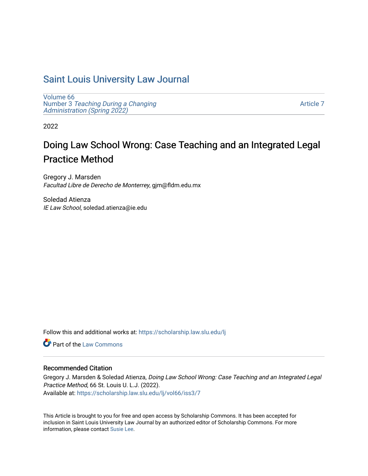# [Saint Louis University Law Journal](https://scholarship.law.slu.edu/lj)

[Volume 66](https://scholarship.law.slu.edu/lj/vol66) Number 3 [Teaching During a Changing](https://scholarship.law.slu.edu/lj/vol66/iss3)  Administration (Spring 2022)

[Article 7](https://scholarship.law.slu.edu/lj/vol66/iss3/7) 

2022

# Doing Law School Wrong: Case Teaching and an Integrated Legal Practice Method

Gregory J. Marsden Facultad Libre de Derecho de Monterrey, gjm@fldm.edu.mx

Soledad Atienza IE Law School, soledad.atienza@ie.edu

Follow this and additional works at: [https://scholarship.law.slu.edu/lj](https://scholarship.law.slu.edu/lj?utm_source=scholarship.law.slu.edu%2Flj%2Fvol66%2Fiss3%2F7&utm_medium=PDF&utm_campaign=PDFCoverPages) 

**C** Part of the [Law Commons](https://network.bepress.com/hgg/discipline/578?utm_source=scholarship.law.slu.edu%2Flj%2Fvol66%2Fiss3%2F7&utm_medium=PDF&utm_campaign=PDFCoverPages)

# Recommended Citation

Gregory J. Marsden & Soledad Atienza, Doing Law School Wrong: Case Teaching and an Integrated Legal Practice Method, 66 St. Louis U. L.J. (2022). Available at: [https://scholarship.law.slu.edu/lj/vol66/iss3/7](https://scholarship.law.slu.edu/lj/vol66/iss3/7?utm_source=scholarship.law.slu.edu%2Flj%2Fvol66%2Fiss3%2F7&utm_medium=PDF&utm_campaign=PDFCoverPages) 

This Article is brought to you for free and open access by Scholarship Commons. It has been accepted for inclusion in Saint Louis University Law Journal by an authorized editor of Scholarship Commons. For more information, please contact [Susie Lee](mailto:susie.lee@slu.edu).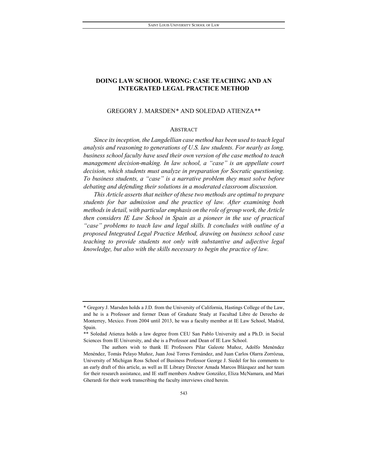# **DOING LAW SCHOOL WRONG: CASE TEACHING AND AN INTEGRATED LEGAL PRACTICE METHOD**

# GREGORY J. MARSDEN\* AND SOLEDAD ATIEN[ZA](#page-1-0)[\\*\\*](#page-1-1)

# ABSTRACT

*Since its inception, the Langdellian case method has been used to teach legal analysis and reasoning to generations of U.S. law students. For nearly as long, business school faculty have used their own version of the case method to teach management decision-making. In law school, a "case" is an appellate court decision, which students must analyze in preparation for Socratic questioning. To business students, a "case" is a narrative problem they must solve before debating and defending their solutions in a moderated classroom discussion.*

*This Article asserts that neither of these two methods are optimal to prepare students for bar admission and the practice of law. After examining both methods in detail, with particular emphasis on the role of group work, the Article then considers IE Law School in Spain as a pioneer in the use of practical "case" problems to teach law and legal skills. It concludes with outline of a proposed Integrated Legal Practice Method, drawing on business school case teaching to provide students not only with substantive and adjective legal knowledge, but also with the skills necessary to begin the practice of law.*

<span id="page-1-0"></span><sup>\*</sup> Gregory J. Marsden holds a J.D. from the University of California, Hastings College of the Law, and he is a Professor and former Dean of Graduate Study at Facultad Libre de Derecho de Monterrey, Mexico. From 2004 until 2013, he was a faculty member at IE Law School, Madrid, Spain.

<span id="page-1-1"></span><sup>\*\*</sup> Soledad Atienza holds a law degree from CEU San Pablo University and a Ph.D. in Social Sciences from IE University, and she is a Professor and Dean of IE Law School.

The authors wish to thank IE Professors Pilar Galeote Muñoz, Adolfo Menéndez Menéndez, Tomás Pelayo Muñoz, Juan José Torres Fernández, and Juan Carlos Olarra Zorrózua, University of Michigan Ross School of Business Professor George J. Siedel for his comments to an early draft of this article, as well as IE Library Director Amada Marcos Blázquez and her team for their research assistance, and IE staff members Andrew González, Eliza McNamara, and Mari Gherardi for their work transcribing the faculty interviews cited herein.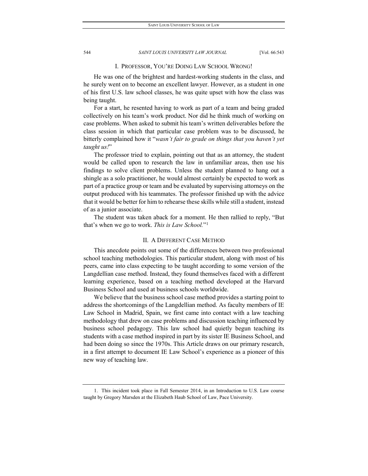# I. PROFESSOR, YOU'RE DOING LAW SCHOOL WRONG!

He was one of the brightest and hardest-working students in the class, and he surely went on to become an excellent lawyer. However, as a student in one of his first U.S. law school classes, he was quite upset with how the class was being taught.

For a start, he resented having to work as part of a team and being graded collectively on his team's work product. Nor did he think much of working on case problems. When asked to submit his team's written deliverables before the class session in which that particular case problem was to be discussed, he bitterly complained how it "*wasn't fair to grade on things that you haven't yet taught us!*"

The professor tried to explain, pointing out that as an attorney, the student would be called upon to research the law in unfamiliar areas, then use his findings to solve client problems. Unless the student planned to hang out a shingle as a solo practitioner, he would almost certainly be expected to work as part of a practice group or team and be evaluated by supervising attorneys on the output produced with his teammates. The professor finished up with the advice that it would be better for him to rehearse these skills while still a student, instead of as a junior associate.

The student was taken aback for a moment. He then rallied to reply, "But that's when we go to work. *This is Law School.*"[1](#page-2-0)

# II. A DIFFERENT CASE METHOD

This anecdote points out some of the differences between two professional school teaching methodologies. This particular student, along with most of his peers, came into class expecting to be taught according to some version of the Langdellian case method. Instead, they found themselves faced with a different learning experience, based on a teaching method developed at the Harvard Business School and used at business schools worldwide.

We believe that the business school case method provides a starting point to address the shortcomings of the Langdellian method. As faculty members of IE Law School in Madrid, Spain, we first came into contact with a law teaching methodology that drew on case problems and discussion teaching influenced by business school pedagogy. This law school had quietly begun teaching its students with a case method inspired in part by its sister IE Business School, and had been doing so since the 1970s. This Article draws on our primary research, in a first attempt to document IE Law School's experience as a pioneer of this new way of teaching law.

<span id="page-2-0"></span><sup>1.</sup> This incident took place in Fall Semester 2014, in an Introduction to U.S. Law course taught by Gregory Marsden at the Elizabeth Haub School of Law, Pace University.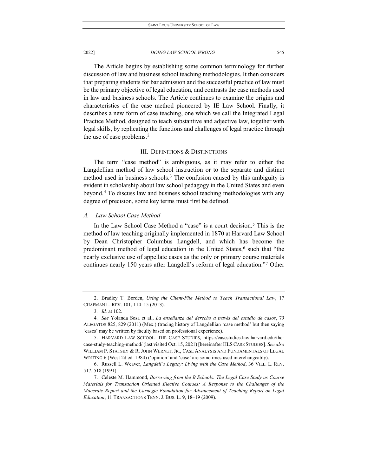The Article begins by establishing some common terminology for further discussion of law and business school teaching methodologies. It then considers that preparing students for bar admission and the successful practice of law must be the primary objective of legal education, and contrasts the case methods used in law and business schools. The Article continues to examine the origins and characteristics of the case method pioneered by IE Law School. Finally, it describes a new form of case teaching, one which we call the Integrated Legal Practice Method, designed to teach substantive and adjective law, together with legal skills, by replicating the functions and challenges of legal practice through the use of case problems.[2](#page-3-0)

# III. DEFINITIONS & DISTINCTIONS

The term "case method" is ambiguous, as it may refer to either the Langdellian method of law school instruction or to the separate and distinct method used in business schools.<sup>[3](#page-3-1)</sup> The confusion caused by this ambiguity is evident in scholarship about law school pedagogy in the United States and even beyond.[4](#page-3-2) To discuss law and business school teaching methodologies with any degree of precision, some key terms must first be defined.

# *A. Law School Case Method*

In the Law School Case Method a "case" is a court decision.<sup>[5](#page-3-3)</sup> This is the method of law teaching originally implemented in 1870 at Harvard Law School by Dean Christopher Columbus Langdell, and which has become the predominant method of legal education in the United States, $6$  such that "the nearly exclusive use of appellate cases as the only or primary course materials continues nearly 150 years after Langdell's reform of legal education."[7](#page-3-5) Other

<span id="page-3-0"></span><sup>2.</sup> Bradley T. Borden, *Using the Client-File Method to Teach Transactional Law*, 17 CHAPMAN L. REV. 101, 114–15 (2013).

<sup>3</sup>*. Id.* at 102.

<span id="page-3-2"></span><span id="page-3-1"></span><sup>4</sup>*. See* Yolanda Sosa et al., *La enseñanza del derecho a través del estudio de casos*, 79 ALEGATOS 825, 829 (2011) (Mex.) (tracing history of Langdellian 'case method' but then saying 'cases' may be written by faculty based on professional experience).

<span id="page-3-3"></span><sup>5.</sup> HARVARD LAW SCHOOL: THE CASE STUDIES, https://casestudies.law.harvard.edu/thecase-study-teaching-method/ (last visited Oct. 15, 2021) [hereinafter HLSCASE STUDIES]. *See also* WILLIAM P. STATSKY & R. JOHN WERNET, JR., CASE ANALYSIS AND FUNDAMENTALS OF LEGAL WRITING 6 (West 2d ed. 1984) ('opinion' and 'case' are sometimes used interchangeably).

<span id="page-3-4"></span><sup>6.</sup> Russell L. Weaver, *Langdell's Legacy: Living with the Case Method*, 36 VILL. L. REV. 517, 518 (1991).

<span id="page-3-5"></span><sup>7.</sup> Celeste M. Hammond, *Borrowing from the B Schools: The Legal Case Study as Course Materials for Transaction Oriented Elective Courses: A Response to the Challenges of the Maccrate Report and the Carnegie Foundation for Advancement of Teaching Report on Legal Education*, 11 TRANSACTIONS TENN. J. BUS. L. 9, 18–19 (2009).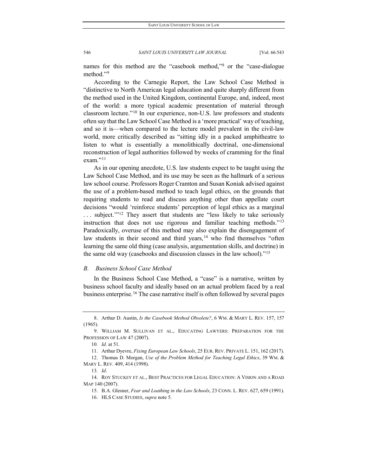names for this method are the "casebook method,"[8](#page-4-0) or the "case-dialogue method."<sup>[9](#page-4-1)</sup>

According to the Carnegie Report, the Law School Case Method is "distinctive to North American legal education and quite sharply different from the method used in the United Kingdom, continental Europe, and, indeed, most of the world: a more typical academic presentation of material through classroom lecture."[10](#page-4-2) In our experience, non-U.S. law professors and students often say that the Law School Case Method is a 'more practical' way of teaching, and so it is—when compared to the lecture model prevalent in the civil-law world, more critically described as "sitting idly in a packed amphitheatre to listen to what is essentially a monolithically doctrinal, one-dimensional reconstruction of legal authorities followed by weeks of cramming for the final exam."<sup>[11](#page-4-3)</sup>

As in our opening anecdote, U.S. law students expect to be taught using the Law School Case Method, and its use may be seen as the hallmark of a serious law school course. Professors Roger Cramton and Susan Koniak advised against the use of a problem-based method to teach legal ethics, on the grounds that requiring students to read and discuss anything other than appellate court decisions "would 'reinforce students' perception of legal ethics as a marginal ... subject."<sup>[12](#page-4-4)</sup> They assert that students are "less likely to take seriously instruction that does not use rigorous and familiar teaching methods."[13](#page-4-5) Paradoxically, overuse of this method may also explain the disengagement of law students in their second and third years,  $14$  who find themselves "often learning the same old thing (case analysis, argumentation skills, and doctrine) in the same old way (casebooks and discussion classes in the law school)."[15](#page-4-7)

# *B. Business School Case Method*

In the Business School Case Method, a "case" is a narrative, written by business school faculty and ideally based on an actual problem faced by a real business enterprise.<sup>[16](#page-4-8)</sup> The case narrative itself is often followed by several pages

<span id="page-4-0"></span><sup>8.</sup> Arthur D. Austin, *Is the Casebook Method Obsolete?*, 6 WM. & MARY L. REV. 157, 157 (1965).

<span id="page-4-2"></span><span id="page-4-1"></span><sup>9.</sup> WILLIAM M. SULLIVAN ET AL., EDUCATING LAWYERS: PREPARATION FOR THE PROFESSION OF LAW 47 (2007).

<sup>10</sup>*. Id.* at 51.

<sup>11.</sup> Arthur Dyevre, *Fixing European Law Schools*, 25 EUR. REV. PRIVATE L. 151, 162 (2017).

<span id="page-4-4"></span><span id="page-4-3"></span><sup>12.</sup> Thomas D. Morgan, *Use of the Problem Method for Teaching Legal Ethics*, 39 WM. & MARY L. REV. 409, 414 (1998).

<sup>13</sup>*. Id*.

<span id="page-4-8"></span><span id="page-4-7"></span><span id="page-4-6"></span><span id="page-4-5"></span><sup>14.</sup> ROY STUCKEY ET AL., BEST PRACTICES FOR LEGAL EDUCATION: A VISION AND A ROAD MAP 140 (2007).

<sup>15.</sup> B.A. Glesner, *Fear and Loathing in the Law Schools*, 23 CONN. L. REV. 627, 659 (1991).

<sup>16.</sup> HLS CASE STUDIES, *supra* note 5.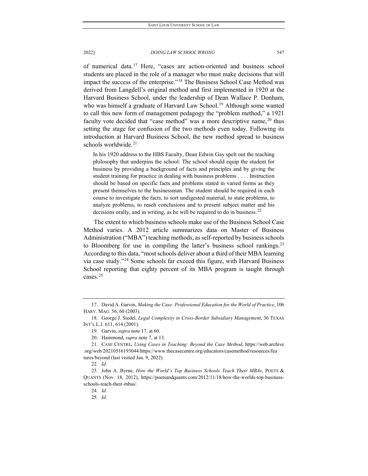of numerical data.[17](#page-5-0) Here, "cases are action-oriented and business school students are placed in the role of a manager who must make decisions that will impact the success of the enterprise."[18](#page-5-1) The Business School Case Method was derived from Langdell's original method and first implemented in 1920 at the Harvard Business School, under the leadership of Dean Wallace P. Donham, who was himself a graduate of Harvard Law School.<sup>[19](#page-5-2)</sup> Although some wanted to call this new form of management pedagogy the "problem method," a 1921 faculty vote decided that "case method" was a more descriptive name,  $20$  thus setting the stage for confusion of the two methods even today. Following its introduction at Harvard Business School, the new method spread to business schools worldwide. $21$ 

In his 1920 address to the HBS Faculty, Dean Edwin Gay spelt out the teaching philosophy that underpins the school: The school should equip the student for business by providing a background of facts and principles and by giving the student training for practice in dealing with business problems . . . . Instruction should be based on specific facts and problems stated in varied forms as they present themselves to the businessman. The student should be required in each course to investigate the facts, to sort undigested material, to state problems, to analyze problems, to reach conclusions and to present subject matter and his decisions orally, and in writing, as he will be required to do in business.<sup>[22](#page-5-5)</sup>

The extent to which business schools make use of the Business School Case Method varies. A 2012 article summarizes data on Master of Business Administration ("MBA") teaching methods, as self-reported by business schools to Bloomberg for use in compiling the latter's business school rankings.<sup>[23](#page-5-6)</sup> According to this data, "most schools deliver about a third of their MBA learning via case study."[24](#page-5-7) Some schools far exceed this figure, with Harvard Business School reporting that eighty percent of its MBA program is taught through cases.[25](#page-5-8)

<span id="page-5-0"></span><sup>17.</sup> David A. Garvin, *Making the Case: Professional Education for the World of Practice*, 106 HARV. MAG. 56, 60 (2003).

<span id="page-5-2"></span><span id="page-5-1"></span><sup>18.</sup> George J. Siedel, *Legal Complexity in Cross-Border Subsidiary Management*, 36 TEXAS INT'L L.J. 611, 614 (2001).

<sup>19.</sup> Garvin, *supra* note 17, at 60.

<sup>20.</sup> Hammond, *supra* note 7, at 13.

<span id="page-5-4"></span><span id="page-5-3"></span><sup>21.</sup> CASE CENTRE, *Using Cases in Teaching: Beyond the Case Method*, https://web.archive .org/web/20210516193044/https://www.thecasecentre.org/educators/casemethod/resources/fea tures/beyond (last visited Jan. 9, 2022).

<sup>22</sup>*. Id.*

<span id="page-5-8"></span><span id="page-5-7"></span><span id="page-5-6"></span><span id="page-5-5"></span><sup>23.</sup> John A. Byrne, *How the World's Top Business Schools Teach Their MBAs*, POETS & QUANTS (Nov. 18, 2012), https://poetsandquants.com/2012/11/18/how-the-worlds-top-businessschools-teach-their-mbas/.

<sup>24</sup>*. Id.*

<sup>25</sup>*. Id.*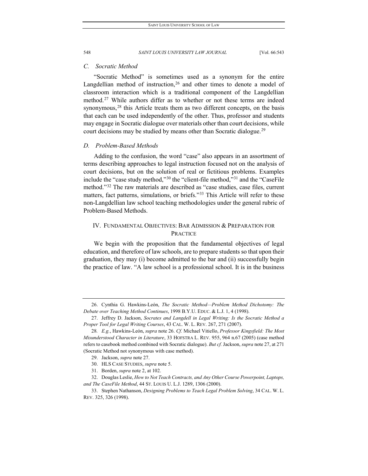# *C. Socratic Method*

"Socratic Method" is sometimes used as a synonym for the entire Langdellian method of instruction,  $26$  and other times to denote a model of classroom interaction which is a traditional component of the Langdellian method.<sup>[27](#page-6-1)</sup> While authors differ as to whether or not these terms are indeed synonymous,<sup>[28](#page-6-2)</sup> this Article treats them as two different concepts, on the basis that each can be used independently of the other. Thus, professor and students may engage in Socratic dialogue over materials other than court decisions, while court decisions may be studied by means other than Socratic dialogue.<sup>[29](#page-6-3)</sup>

# *D. Problem-Based Methods*

Adding to the confusion, the word "case" also appears in an assortment of terms describing approaches to legal instruction focused not on the analysis of court decisions, but on the solution of real or fictitious problems. Examples include the "case study method,"[30](#page-6-4) the "client-file method,"[31](#page-6-5) and the "CaseFile method."[32](#page-6-6) The raw materials are described as "case studies, case files, current matters, fact patterns, simulations, or briefs."<sup>[33](#page-6-7)</sup> This Article will refer to these non-Langdellian law school teaching methodologies under the general rubric of Problem-Based Methods.

# IV. FUNDAMENTAL OBJECTIVES: BAR ADMISSION & PREPARATION FOR PRACTICE

We begin with the proposition that the fundamental objectives of legal education, and therefore of law schools, are to prepare students so that upon their graduation, they may (i) become admitted to the bar and (ii) successfully begin the practice of law. "A law school is a professional school. It is in the business

31. Borden, *supra* note 2, at 102.

<span id="page-6-0"></span><sup>26.</sup> Cynthia G. Hawkins-León, *The Socratic Method—Problem Method Dichotomy: The Debate over Teaching Method Continues*, 1998 B.Y.U. EDUC. & L.J. 1, 4 (1998).

<span id="page-6-1"></span><sup>27.</sup> Jeffrey D. Jackson, *Socrates and Langdell in Legal Writing: Is the Socratic Method a Proper Tool for Legal Writing Courses*, 43 CAL. W. L. REV. 267, 271 (2007).

<span id="page-6-2"></span><sup>28</sup>*. E.g.*, Hawkins-León, *supra* note 26. *Cf.* Michael Vitiello, *Professor Kingsfield: The Most Misunderstood Character in Literature*, 33 HOFSTRA L. REV. 955, 964 n.67 (2005) (case method refers to casebook method combined with Socratic dialogue). *But cf.* Jackson, *supra* note 27, at 271 (Socratic Method not synonymous with case method).

<sup>29.</sup> Jackson, *supra* note 27.

<sup>30.</sup> HLS CASE STUDIES, *supra* note 5.

<span id="page-6-6"></span><span id="page-6-5"></span><span id="page-6-4"></span><span id="page-6-3"></span><sup>32.</sup> Douglas Leslie, *How to Not Teach Contracts, and Any Other Course Powerpoint, Laptops, and The CaseFile Method*, 44 ST. LOUIS U. L.J. 1289, 1306 (2000).

<span id="page-6-7"></span><sup>33.</sup> Stephen Nathanson, *Designing Problems to Teach Legal Problem Solving*, 34 CAL. W. L. REV. 325, 326 (1998).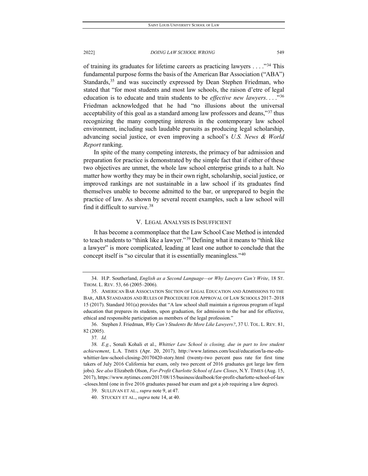of training its graduates for lifetime careers as practicing lawyers  $\dots$ ."<sup>[34](#page-7-0)</sup> This fundamental purpose forms the basis of the American Bar Association ("ABA") Standards,<sup>35</sup> and was succinctly expressed by Dean Stephen Friedman, who stated that "for most students and most law schools, the raison d'etre of legal education is to educate and train students to be *effective new lawyers*. . . ."[36](#page-7-2) Friedman acknowledged that he had "no illusions about the universal acceptability of this goal as a standard among law professors and deans,"[37](#page-7-3) thus recognizing the many competing interests in the contemporary law school environment, including such laudable pursuits as producing legal scholarship, advancing social justice, or even improving a school's *U.S. News & World Report* ranking.

In spite of the many competing interests, the primacy of bar admission and preparation for practice is demonstrated by the simple fact that if either of these two objectives are unmet, the whole law school enterprise grinds to a halt. No matter how worthy they may be in their own right, scholarship, social justice, or improved rankings are not sustainable in a law school if its graduates find themselves unable to become admitted to the bar, or unprepared to begin the practice of law. As shown by several recent examples, such a law school will find it difficult to survive.[38](#page-7-4)

# V. LEGAL ANALYSIS IS INSUFFICIENT

It has become a commonplace that the Law School Case Method is intended to teach students to "think like a lawyer."[39](#page-7-5) Defining what it means to "think like a lawyer" is more complicated, leading at least one author to conclude that the concept itself is "so circular that it is essentially meaningless."[40](#page-7-6)

<span id="page-7-0"></span><sup>34.</sup> H.P. Southerland, *English as a Second Language—or Why Lawyers Can't Write*, 18 ST. THOM. L. REV. 53, 66 (2005–2006).

<span id="page-7-1"></span><sup>35.</sup> AMERICAN BAR ASSOCIATION SECTION OF LEGAL EDUCATION AND ADMISSIONS TO THE BAR, ABA STANDARDS AND RULES OF PROCEDURE FOR APPROVAL OF LAW SCHOOLS 2017–2018 15 (2017). Standard 301(a) provides that "A law school shall maintain a rigorous program of legal education that prepares its students, upon graduation, for admission to the bar and for effective, ethical and responsible participation as members of the legal profession."

<span id="page-7-2"></span><sup>36.</sup> Stephen J. Friedman, *Why Can't Students Be More Like Lawyers?*, 37 U. TOL. L. REV. 81, 82 (2005).

<sup>37</sup>*. Id.*

<span id="page-7-4"></span><span id="page-7-3"></span><sup>38</sup>*. E.g.*, Sonali Kohali et al., *Whittier Law School is closing, due in part to low student achievement*, L.A. TIMES (Apr. 20, 2017), http://www.latimes.com/local/education/la-me-eduwhittier-law-school-closing-20170420-story.html (twenty-two percent pass rate for first time takers of July 2016 California bar exam, only two percent of 2016 graduates got large law firm jobs). *See also* Elizabeth Olson, *For-Profit Charlotte School of Law Closes*, N.Y. TIMES (Aug. 15, 2017), https://www.nytimes.com/2017/08/15/business/dealbook/for-profit-charlotte-school-of-law -closes.html (one in five 2016 graduates passed bar exam and got a job requiring a law degree).

<span id="page-7-5"></span><sup>39.</sup> SULLIVAN ET AL., *supra* note 9, at 47.

<span id="page-7-6"></span><sup>40.</sup> STUCKEY ET AL., *supra* note 14, at 40.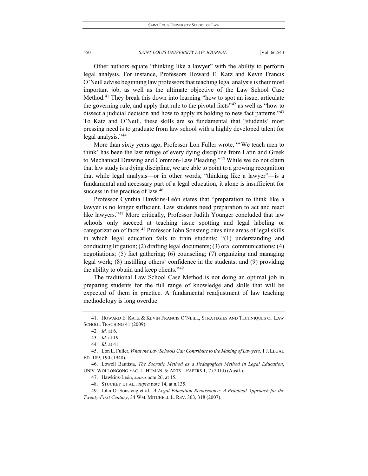Other authors equate "thinking like a lawyer" with the ability to perform legal analysis. For instance, Professors Howard E. Katz and Kevin Francis O'Neill advise beginning law professors that teaching legal analysis is their most important job, as well as the ultimate objective of the Law School Case Method.<sup>[41](#page-8-0)</sup> They break this down into learning "how to spot an issue, articulate the governing rule, and apply that rule to the pivotal facts<sup>"[42](#page-8-1)</sup> as well as "how to dissect a judicial decision and how to apply its holding to new fact patterns."<sup>[43](#page-8-2)</sup> To Katz and O'Neill, these skills are so fundamental that "students' most pressing need is to graduate from law school with a highly developed talent for legal analysis."[44](#page-8-3)

More than sixty years ago, Professor Lon Fuller wrote, "'We teach men to think' has been the last refuge of every dying discipline from Latin and Greek to Mechanical Drawing and Common-Law Pleading."[45](#page-8-4) While we do not claim that law study is a dying discipline, we are able to point to a growing recognition that while legal analysis—or in other words, "thinking like a lawyer"—is a fundamental and necessary part of a legal education, it alone is insufficient for success in the practice of law.<sup>[46](#page-8-5)</sup>

Professor Cynthia Hawkins-León states that "preparation to think like a lawyer is no longer sufficient. Law students need preparation to act and react like lawyers."<sup>[47](#page-8-6)</sup> More critically, Professor Judith Younger concluded that law schools only succeed at teaching issue spotting and legal labeling or categorization of facts.[48](#page-8-7) Professor John Sonsteng cites nine areas of legal skills in which legal education fails to train students: "(1) understanding and conducting litigation; (2) drafting legal documents; (3) oral communications; (4) negotiations; (5) fact gathering; (6) counseling; (7) organizing and managing legal work; (8) instilling others' confidence in the students; and (9) providing the ability to obtain and keep clients."[49](#page-8-8)

The traditional Law School Case Method is not doing an optimal job in preparing students for the full range of knowledge and skills that will be expected of them in practice. A fundamental readjustment of law teaching methodology is long overdue.

48. STUCKEY ET AL., *supra* note 14, at n.135.

<span id="page-8-1"></span><span id="page-8-0"></span><sup>41.</sup> HOWARD E. KATZ & KEVIN FRANCIS O'NEILL, STRATEGIES AND TECHNIQUES OF LAW SCHOOL TEACHING 41 (2009).

<sup>42</sup>*. Id.* at 6.

<sup>43</sup>*. Id.* at 19.

<sup>44</sup>*. Id.* at 41.

<span id="page-8-4"></span><span id="page-8-3"></span><span id="page-8-2"></span><sup>45.</sup> Lon L. Fuller, *What the Law Schools Can Contribute to the Making of Lawyers*, 1 J. LEGAL ED. 189, 190 (1948).

<span id="page-8-6"></span><span id="page-8-5"></span><sup>46.</sup> Lowell Bautista, *The Socratic Method as a Pedagogical Method in Legal Education*, UNIV. WOLLONGONG FAC. L. HUMAN. & ARTS—PAPERS 1, 7 (2014) (Austl.).

<sup>47.</sup> Hawkins-León, *supra* note 26, at 15.

<span id="page-8-8"></span><span id="page-8-7"></span><sup>49.</sup> John O. Sonsteng et al., *A Legal Education Renaissance: A Practical Approach for the Twenty-First Century*, 34 WM. MITCHELL L. REV. 303, 318 (2007).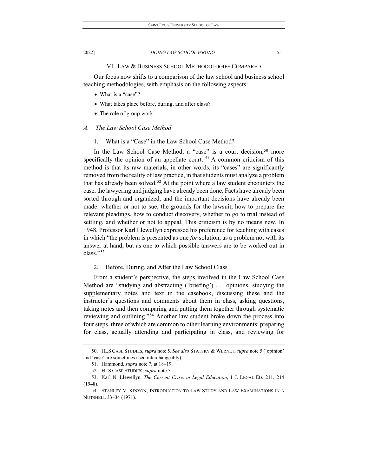# VI. LAW & BUSINESS SCHOOL METHODOLOGIES COMPARED

Our focus now shifts to a comparison of the law school and business school teaching methodologies, with emphasis on the following aspects:

- What is a "case"?
- What takes place before, during, and after class?
- The role of group work

# *A. The Law School Case Method*

1. What is a "Case" in the Law School Case Method?

In the Law School Case Method, a "case" is a court decision,  $50$  more specifically the opinion of an appellate court.  $51$  A common criticism of this method is that its raw materials, in other words, its "cases" are significantly removed from the reality of law practice, in that students must analyze a problem that has already been solved.<sup>[52](#page-9-2)</sup> At the point where a law student encounters the case, the lawyering and judging have already been done. Facts have already been sorted through and organized, and the important decisions have already been made: whether or not to sue, the grounds for the lawsuit, how to prepare the relevant pleadings, how to conduct discovery, whether to go to trial instead of settling, and whether or not to appeal. This criticism is by no means new. In 1948, Professor Karl Llewellyn expressed his preference for teaching with cases in which "the problem is presented as one *for* solution, as a problem not with its answer at hand, but as one to which possible answers are to be worked out in class."[53](#page-9-3)

# 2. Before, During, and After the Law School Class

From a student's perspective, the steps involved in the Law School Case Method are "studying and abstracting ('briefing') . . . opinions, studying the supplementary notes and text in the casebook, discussing these and the instructor's questions and comments about them in class, asking questions, taking notes and then comparing and putting them together through systematic reviewing and outlining."[54](#page-9-4) Another law student broke down the process into four steps, three of which are common to other learning environments: preparing for class, actually attending and participating in class, and reviewing for

<span id="page-9-1"></span><span id="page-9-0"></span><sup>50.</sup> HLS CASE STUDIES, *supra* note 5. *See also* STATSKY & WERNET, *supra* note 5 ('opinion' and 'case' are sometimes used interchangeably).

<sup>51.</sup> Hammond, *supra* note 7, at 18–19.

<sup>52.</sup> HLS CASE STUDIES, *supra* note 5.

<span id="page-9-3"></span><span id="page-9-2"></span><sup>53.</sup> Karl N. Llewellyn, *The Current Crisis in Legal Education*, 1 J. LEGAL ED. 211, 214 (1948).

<span id="page-9-4"></span><sup>54.</sup> STANLEY V. KINYON, INTRODUCTION TO LAW STUDY AND LAW EXAMINATIONS IN A NUTSHELL 33–34 (1971).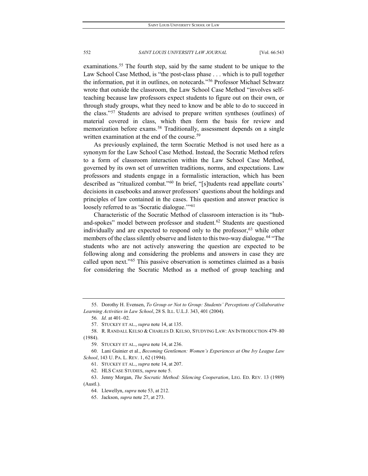examinations.<sup>[55](#page-10-0)</sup> The fourth step, said by the same student to be unique to the Law School Case Method, is "the post-class phase . . . which is to pull together the information, put it in outlines, on notecards."[56](#page-10-1) Professor Michael Schwarz wrote that outside the classroom, the Law School Case Method "involves selfteaching because law professors expect students to figure out on their own, or through study groups, what they need to know and be able to do to succeed in the class."[57](#page-10-2) Students are advised to prepare written syntheses (outlines) of material covered in class, which then form the basis for review and memorization before exams.<sup>[58](#page-10-3)</sup> Traditionally, assessment depends on a single written examination at the end of the course.<sup>[59](#page-10-4)</sup>

As previously explained, the term Socratic Method is not used here as a synonym for the Law School Case Method. Instead, the Socratic Method refers to a form of classroom interaction within the Law School Case Method, governed by its own set of unwritten traditions, norms, and expectations. Law professors and students engage in a formalistic interaction, which has been described as "ritualized combat."[60](#page-10-5) In brief, "[s]tudents read appellate courts' decisions in casebooks and answer professors' questions about the holdings and principles of law contained in the cases. This question and answer practice is loosely referred to as 'Socratic dialogue."<sup>[61](#page-10-6)</sup>

Characteristic of the Socratic Method of classroom interaction is its "hub-and-spokes" model between professor and student.<sup>[62](#page-10-7)</sup> Students are questioned individually and are expected to respond only to the professor,<sup>[63](#page-10-8)</sup> while other members of the class silently observe and listen to this two-way dialogue.<sup>[64](#page-10-9)</sup> "The students who are not actively answering the question are expected to be following along and considering the problems and answers in case they are called upon next."[65](#page-10-10) This passive observation is sometimes claimed as a basis for considering the Socratic Method as a method of group teaching and

<span id="page-10-10"></span><span id="page-10-9"></span><span id="page-10-8"></span><span id="page-10-7"></span>63. Jenny Morgan, *The Socratic Method: Silencing Cooperation*, LEG. ED. REV. 13 (1989) (Austl.).

64. Llewellyn, *supra* note 53, at 212.

<span id="page-10-1"></span><span id="page-10-0"></span><sup>55.</sup> Dorothy H. Evensen, *To Group or Not to Group: Students' Perceptions of Collaborative Learning Activities in Law School*, 28 S. ILL. U.L.J. 343, 401 (2004).

<sup>56</sup>*. Id.* at 401–02.

<sup>57.</sup> STUCKEY ET AL., *supra* note 14, at 135.

<span id="page-10-3"></span><span id="page-10-2"></span><sup>58.</sup> R. RANDALL KELSO & CHARLES D. KELSO, STUDYING LAW: AN INTRODUCTION 479–80 (1984).

<sup>59.</sup> STUCKEY ET AL., *supra* note 14, at 236.

<span id="page-10-6"></span><span id="page-10-5"></span><span id="page-10-4"></span><sup>60.</sup> Lani Guinier et al., *Becoming Gentlemen: Women's Experiences at One Ivy League Law School*, 143 U. PA. L. REV. 1, 62 (1994).

<sup>61.</sup> STUCKEY ET AL., *supra* note 14, at 207.

<sup>62.</sup> HLS CASE STUDIES, *supra* note 5.

<sup>65.</sup> Jackson, *supra* note 27, at 273.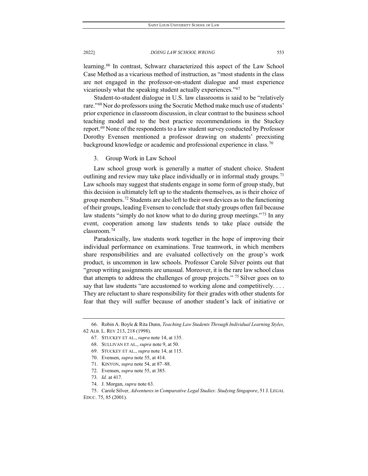learning.<sup>[66](#page-11-0)</sup> In contrast, Schwarz characterized this aspect of the Law School Case Method as a vicarious method of instruction, as "most students in the class are not engaged in the professor-on-student dialogue and must experience vicariously what the speaking student actually experiences."[67](#page-11-1)

Student-to-student dialogue in U.S. law classrooms is said to be "relatively rare."<sup>[68](#page-11-2)</sup> Nor do professors using the Socratic Method make much use of students' prior experience in classroom discussion, in clear contrast to the business school teaching model and to the best practice recommendations in the Stuckey report.<sup>[69](#page-11-3)</sup> None of the respondents to a law student survey conducted by Professor Dorothy Evensen mentioned a professor drawing on students' preexisting background knowledge or academic and professional experience in class.<sup>[70](#page-11-4)</sup>

3. Group Work in Law School

Law school group work is generally a matter of student choice. Student outlining and review may take place individually or in informal study groups.<sup>[71](#page-11-5)</sup> Law schools may suggest that students engage in some form of group study, but this decision is ultimately left up to the students themselves, as is their choice of group members.[72](#page-11-6) Students are also left to their own devices as to the functioning of their groups, leading Evensen to conclude that study groups often fail because law students "simply do not know what to do during group meetings."<sup>[73](#page-11-7)</sup> In any event, cooperation among law students tends to take place outside the classroom.[74](#page-11-8)

Paradoxically, law students work together in the hope of improving their individual performance on examinations. True teamwork, in which members share responsibilities and are evaluated collectively on the group's work product, is uncommon in law schools. Professor Carole Silver points out that "group writing assignments are unusual. Moreover, it is the rare law school class that attempts to address the challenges of group projects." <sup>[75](#page-11-9)</sup> Silver goes on to say that law students "are accustomed to working alone and competitively.... They are reluctant to share responsibility for their grades with other students for fear that they will suffer because of another student's lack of initiative or

74. J. Morgan, *supra* note 63.

<span id="page-11-4"></span><span id="page-11-3"></span><span id="page-11-2"></span><span id="page-11-1"></span><span id="page-11-0"></span><sup>66.</sup> Robin A. Boyle & Rita Dunn, *Teaching Law Students Through Individual Learning Styles*, 62 ALB. L. REV 213, 218 (1998).

<sup>67.</sup> STUCKEY ET AL., *supra* note 14, at 135.

<sup>68.</sup> SULLIVAN ET AL., *supra* note 9, at 50.

<sup>69.</sup> STUCKEY ET AL., *supra* note 14, at 115.

<sup>70.</sup> Evensen, *supra* note 55, at 414.

<sup>71.</sup> KINYON, *supra* note 54, at 87–88.

<sup>72.</sup> Evensen, *supra* note 55, at 385.

<sup>73</sup>*. Id.* at 417.

<span id="page-11-9"></span><span id="page-11-8"></span><span id="page-11-7"></span><span id="page-11-6"></span><span id="page-11-5"></span><sup>75.</sup> Carole Silver*, Adventures in Comparative Legal Studies: Studying Singapore*, 51 J. LEGAL EDUC. 75, 85 (2001).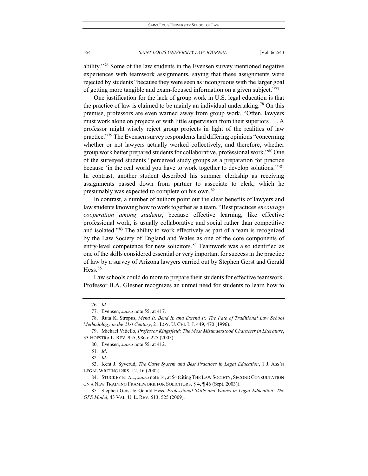ability."[76](#page-12-0) Some of the law students in the Evensen survey mentioned negative experiences with teamwork assignments, saying that these assignments were rejected by students "because they were seen as incongruous with the larger goal of getting more tangible and exam-focused information on a given subject."[77](#page-12-1)

One justification for the lack of group work in U.S. legal education is that the practice of law is claimed to be mainly an individual undertaking.<sup>78</sup> On this premise, professors are even warned away from group work. "Often, lawyers must work alone on projects or with little supervision from their superiors . . . A professor might wisely reject group projects in light of the realities of law practice."[79](#page-12-3) The Evensen survey respondents had differing opinions "concerning whether or not lawyers actually worked collectively, and therefore, whether group work better prepared students for collaborative, professional work.["80](#page-12-4) One of the surveyed students "perceived study groups as a preparation for practice because 'in the real world you have to work together to develop solutions."<sup>[81](#page-12-5)</sup> In contrast, another student described his summer clerkship as receiving assignments passed down from partner to associate to clerk, which he presumably was expected to complete on his own.<sup>[82](#page-12-6)</sup>

In contrast, a number of authors point out the clear benefits of lawyers and law students knowing how to work together as a team. "Best practices *encourage cooperation among students*, because effective learning, like effective professional work, is usually collaborative and social rather than competitive and isolated."[83](#page-12-7) The ability to work effectively as part of a team is recognized by the Law Society of England and Wales as one of the core components of entry-level competence for new solicitors.<sup>[84](#page-12-8)</sup> Teamwork was also identified as one of the skills considered essential or very important for success in the practice of law by a survey of Arizona lawyers carried out by Stephen Gerst and Gerald Hess.<sup>85</sup>

Law schools could do more to prepare their students for effective teamwork. Professor B.A. Glesner recognizes an unmet need for students to learn how to

<sup>76</sup>*. Id.*

<sup>77.</sup> Evensen, *supra* note 55, at 417.

<span id="page-12-2"></span><span id="page-12-1"></span><span id="page-12-0"></span><sup>78.</sup> Ruta K. Stropus, *Mend It, Bend It, and Extend It: The Fate of Traditional Law School Methodology in the 21st Century*, 21 LOY. U. CHI. L.J. 449, 470 (1996).

<span id="page-12-4"></span><span id="page-12-3"></span><sup>79.</sup> Michael Vitiello, *Professor Kingsfield: The Most Misunderstood Character in Literature*, 33 HOFSTRA L. REV. 955, 986 n.225 (2005).

<sup>80.</sup> Evensen, *supra* note 55, at 412.

<sup>81</sup>*. Id*.

<sup>82</sup>*. Id*.

<span id="page-12-7"></span><span id="page-12-6"></span><span id="page-12-5"></span><sup>83.</sup> Kent J. Syverud, *The Caste System and Best Practices in Legal Education*, 1 J. ASS'N LEGAL WRITING DIRS. 12, 16 (2002).

<span id="page-12-8"></span><sup>84.</sup> STUCKEY ET AL., *supra* note 14, at 54 (citing THE LAW SOCIETY, SECOND CONSULTATION ON A NEW TRAINING FRAMEWORK FOR SOLICITORS, § 4, ¶ 46 (Sept. 2003)).

<span id="page-12-9"></span><sup>85.</sup> Stephen Gerst & Gerald Hess, *Professional Skills and Values in Legal Education: The GPS Model*, 43 VAL. U. L. REV. 513, 525 (2009).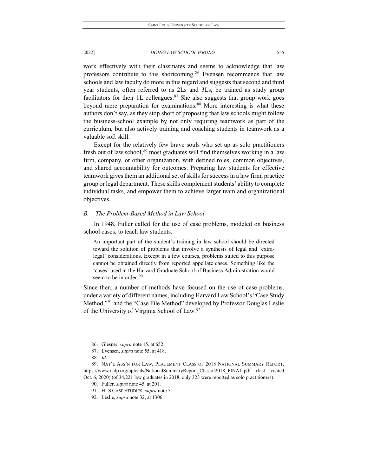work effectively with their classmates and seems to acknowledge that law professors contribute to this shortcoming.[86](#page-13-0) Evensen recommends that law schools and law faculty do more in this regard and suggests that second and third year students, often referred to as 2Ls and 3Ls, be trained as study group facilitators for their 1L colleagues.<sup>[87](#page-13-1)</sup> She also suggests that group work goes beyond mere preparation for examinations.<sup>[88](#page-13-2)</sup> More interesting is what these authors don't say, as they stop short of proposing that law schools might follow the business-school example by not only requiring teamwork as part of the curriculum, but also actively training and coaching students in teamwork as a valuable soft skill.

Except for the relatively few brave souls who set up as solo practitioners fresh out of law school,<sup>[89](#page-13-3)</sup> most graduates will find themselves working in a law firm, company, or other organization, with defined roles, common objectives, and shared accountability for outcomes. Preparing law students for effective teamwork gives them an additional set of skills for success in a law firm, practice group or legal department. These skills complement students' ability to complete individual tasks, and empower them to achieve larger team and organizational objectives.

# *B. The Problem-Based Method in Law School*

In 1948, Fuller called for the use of case problems, modeled on business school cases, to teach law students:

An important part of the student's training in law school should be directed toward the solution of problems that involve a synthesis of legal and 'extralegal' considerations. Except in a few courses, problems suited to this purpose cannot be obtained directly from reported appellate cases. Something like the 'cases' used in the Harvard Graduate School of Business Administration would seem to be in order.  $90$ 

Since then, a number of methods have focused on the use of case problems, under a variety of different names, including Harvard Law School's "Case Study Method,["91](#page-13-5) and the "Case File Method" developed by Professor Douglas Leslie of the University of Virginia School of Law.[92](#page-13-6)

<sup>86.</sup> Glesner, *supra* note 15, at 652.

<sup>87.</sup> Evensen, *supra* note 55, at 418.

<sup>88</sup>*. Id*.

<span id="page-13-6"></span><span id="page-13-5"></span><span id="page-13-4"></span><span id="page-13-3"></span><span id="page-13-2"></span><span id="page-13-1"></span><span id="page-13-0"></span><sup>89.</sup> NAT'L ASS'N FOR LAW, PLACEMENT CLASS OF 2018 NATIONAL SUMMARY REPORT, https://www.nalp.org/uploads/NationalSummaryReport\_Classof2018\_FINAL.pdf (last visited Oct. 6, 2020) (of 34,221 law graduates in 2018, only 323 were reported as solo practitioners).

<sup>90.</sup> Fuller, *supra* note 45, at 201.

<sup>91.</sup> HLS CASE STUDIES, *supra* note 5.

<sup>92.</sup> Leslie, *supra* note 32, at 1306.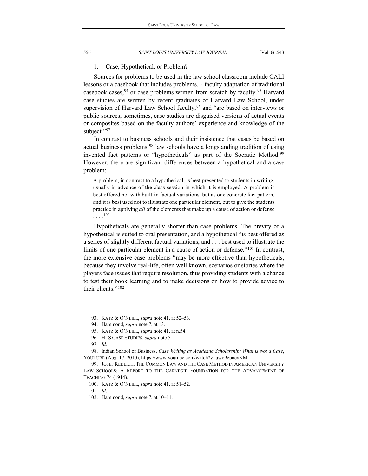# 1. Case, Hypothetical, or Problem?

Sources for problems to be used in the law school classroom include CALI lessons or a casebook that includes problems,  $93$  faculty adaptation of traditional casebook cases,  $94$  or case problems written from scratch by faculty.  $95$  Harvard case studies are written by recent graduates of Harvard Law School, under supervision of Harvard Law School faculty,<sup>[96](#page-14-3)</sup> and "are based on interviews or public sources; sometimes, case studies are disguised versions of actual events or composites based on the faculty authors' experience and knowledge of the subject."[97](#page-14-4)

In contrast to business schools and their insistence that cases be based on actual business problems,<sup>[98](#page-14-5)</sup> law schools have a longstanding tradition of using invented fact patterns or "hypotheticals" as part of the Socratic Method.<sup>[99](#page-14-6)</sup> However, there are significant differences between a hypothetical and a case problem:

A problem, in contrast to a hypothetical, is best presented to students in writing, usually in advance of the class session in which it is employed. A problem is best offered not with built-in factual variations, but as one concrete fact pattern, and it is best used not to illustrate one particular element, but to give the students practice in applying *all* of the elements that make up a cause of action or defense  $\ldots$ <sup>[100](#page-14-7)</sup>

Hypotheticals are generally shorter than case problems. The brevity of a hypothetical is suited to oral presentation, and a hypothetical "is best offered as a series of slightly different factual variations, and . . . best used to illustrate the limits of one particular element in a cause of action or defense."[101](#page-14-8) In contrast, the more extensive case problems "may be more effective than hypotheticals, because they involve real-life, often well known, scenarios or stories where the players face issues that require resolution, thus providing students with a chance to test their book learning and to make decisions on how to provide advice to their clients."[102](#page-14-9)

101*. Id*.

<sup>93.</sup> KATZ & O'NEILL, *supra* note 41, at 52–53.

<sup>94.</sup> Hammond, *supra* note 7, at 13.

<sup>95.</sup> KATZ & O'NEILL, *supra* note 41, at n.54.

<sup>96.</sup> HLS CASE STUDIES, *supra* note 5.

<sup>97</sup>*. Id*.

<span id="page-14-5"></span><span id="page-14-4"></span><span id="page-14-3"></span><span id="page-14-2"></span><span id="page-14-1"></span><span id="page-14-0"></span><sup>98.</sup> Indian School of Business, *Case Writing as Academic Scholarship: What is Not a Case*, YOUTUBE (Aug. 17, 2010), https://www.youtube.com/watch?v=uwo9cpneyKM.

<span id="page-14-8"></span><span id="page-14-7"></span><span id="page-14-6"></span><sup>99.</sup> JOSEF REDLICH, THE COMMON LAW AND THE CASE METHOD IN AMERICAN UNIVERSITY LAW SCHOOLS: A REPORT TO THE CARNEGIE FOUNDATION FOR THE ADVANCEMENT OF TEACHING 74 (1914).

<sup>100.</sup> KATZ & O'NEILL, *supra* note 41, at 51–52.

<span id="page-14-9"></span><sup>102.</sup> Hammond, *supra* note 7, at 10–11.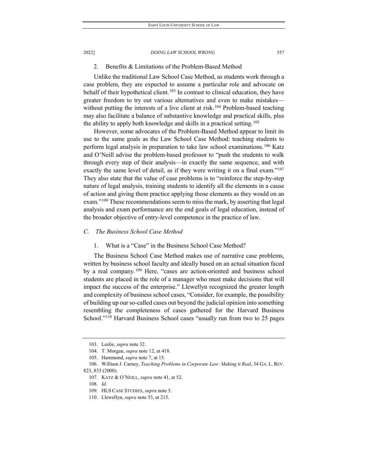# 2. Benefits & Limitations of the Problem-Based Method

Unlike the traditional Law School Case Method, as students work through a case problem, they are expected to assume a particular role and advocate on behalf of their hypothetical client.<sup>[103](#page-15-0)</sup> In contrast to clinical education, they have greater freedom to try out various alternatives and even to make mistakes— without putting the interests of a live client at risk.<sup>[104](#page-15-1)</sup> Problem-based teaching may also facilitate a balance of substantive knowledge and practical skills, plus the ability to apply both knowledge and skills in a practical setting.<sup>[105](#page-15-2)</sup>

However, some advocates of the Problem-Based Method appear to limit its use to the same goals as the Law School Case Method: teaching students to perform legal analysis in preparation to take law school examinations.<sup>[106](#page-15-3)</sup> Katz and O'Neill advise the problem-based professor to "push the students to walk through every step of their analysis—in exactly the same sequence, and with exactly the same level of detail, as if they were writing it on a final exam."<sup>[107](#page-15-4)</sup> They also state that the value of case problems is to "reinforce the step-by-step nature of legal analysis, training students to identify all the elements in a cause of action and giving them practice applying those elements as they would on an exam."<sup>[108](#page-15-5)</sup> These recommendations seem to miss the mark, by asserting that legal analysis and exam performance are the end goals of legal education, instead of the broader objective of entry-level competence in the practice of law.

# *C. The Business School Case Method*

1. What is a "Case" in the Business School Case Method?

The Business School Case Method makes use of narrative case problems, written by business school faculty and ideally based on an actual situation faced by a real company.[109](#page-15-6) Here, "cases are action-oriented and business school students are placed in the role of a manager who must make decisions that will impact the success of the enterprise." Llewellyn recognized the greater length and complexity of business school cases, "Consider, for example, the possibility of building up our so-called cases out beyond the judicial opinion into something resembling the completeness of cases gathered for the Harvard Business School."<sup>[110](#page-15-7)</sup> Harvard Business School cases "usually run from two to 25 pages

<sup>103.</sup> Leslie, *supra* note 32.

<sup>104.</sup> T. Morgan, *supra* note 12, at 418.

<sup>105.</sup> Hammond, *supra* note 7, at 15.

<span id="page-15-6"></span><span id="page-15-5"></span><span id="page-15-4"></span><span id="page-15-3"></span><span id="page-15-2"></span><span id="page-15-1"></span><span id="page-15-0"></span><sup>106.</sup> William J. Carney, *Teaching Problems in Corporate Law: Making it Real*, 34 GA. L. REV. 823, 833 (2000).

<sup>107.</sup> KATZ & O'NEILL, *supra* note 41, at 52.

<sup>108</sup>*. Id*.

<sup>109.</sup> HLS CASE STUDIES, *supra* note 5.

<span id="page-15-7"></span><sup>110.</sup> Llewellyn, *supra* note 53, at 215.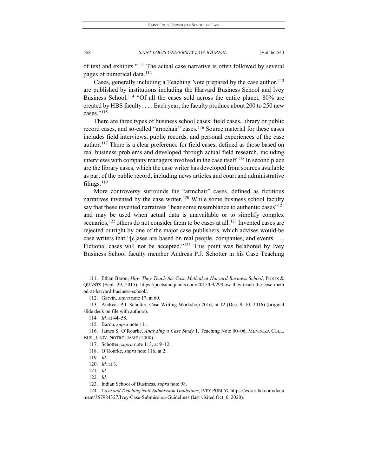of text and exhibits."[111](#page-16-0) The actual case narrative is often followed by several pages of numerical data.<sup>[112](#page-16-1)</sup>

Cases, generally including a Teaching Note prepared by the case author,<sup>113</sup> are published by institutions including the Harvard Business School and Ivey Business School.<sup>[114](#page-16-3)</sup> "Of all the cases sold across the entire planet, 80% are created by HBS faculty. . . . Each year, the faculty produce about 200 to 250 new cases."<sup>[115](#page-16-4)</sup>

There are three types of business school cases: field cases, library or public record cases, and so-called "armchair" cases.<sup>[116](#page-16-5)</sup> Source material for these cases includes field interviews, public records, and personal experiences of the case author.<sup>[117](#page-16-6)</sup> There is a clear preference for field cases, defined as those based on real business problems and developed through actual field research, including interviews with company managers involved in the case itself.<sup>[118](#page-16-7)</sup> In second place are the library cases, which the case writer has developed from sources available as part of the public record, including news articles and court and administrative filings.[119](#page-16-8)

More controversy surrounds the "armchair" cases, defined as fictitious narratives invented by the case writer.<sup>[120](#page-16-9)</sup> While some business school faculty say that these invented narratives "bear some resemblance to authentic cases"<sup>121</sup> and may be used when actual data is unavailable or to simplify complex scenarios,<sup>[122](#page-16-11)</sup> others do not consider them to be cases at all.<sup>[123](#page-16-12)</sup> Invented cases are rejected outright by one of the major case publishers, which advises would-be case writers that "[c]ases are based on real people, companies, and events. . . . Fictional cases will not be accepted."<sup>[124](#page-16-13)</sup> This point was belabored by Ivey Business School faculty member Andreas P.J. Schotter in his Case Teaching

115. Baron, *supra* note 111.

<span id="page-16-8"></span><span id="page-16-7"></span><span id="page-16-6"></span><span id="page-16-5"></span><span id="page-16-4"></span>116. James S. O'Rourke, *Analyzing a Case Study* 1, Teaching Note 00–06, MENDOZA COLL. BUS., UNIV. NOTRE DAME (2000).

- 117. Schotter, *supra* note 113, at 9–12.
- 118. O'Rourke, *supra* note 116, at 2.

122*. Id.*

<span id="page-16-0"></span><sup>111.</sup> Ethan Baron, *How They Teach the Case Method at Harvard Business School*, POETS & QUANTS (Sept. 29, 2015), https://poetsandquants.com/2015/09/29/how-they-teach-the-case-meth od-at-harvard-business-school/.

<sup>112.</sup> Garvin, *supra* note 17, at 60.

<span id="page-16-3"></span><span id="page-16-2"></span><span id="page-16-1"></span><sup>113.</sup> Andreas P.J. Schotter, Case Writing Workshop 2016, at 12 (Dec. 9–10, 2016) (original slide deck on file with authors).

<sup>114</sup>*. Id.* at 44–58.

<sup>119</sup>*. Id*.

<sup>120.</sup> *Id.* at 3.

<sup>121</sup>*. Id.*

<sup>123.</sup> Indian School of Business, *supra* note 98.

<span id="page-16-13"></span><span id="page-16-12"></span><span id="page-16-11"></span><span id="page-16-10"></span><span id="page-16-9"></span><sup>124</sup>*. Case and Teaching Note Submission Guidelines*, IVEY PUBL'G, https://es.scribd.com/docu ment/357984327/Ivey-Case-Submission-Guidelines (last visited Oct. 6, 2020).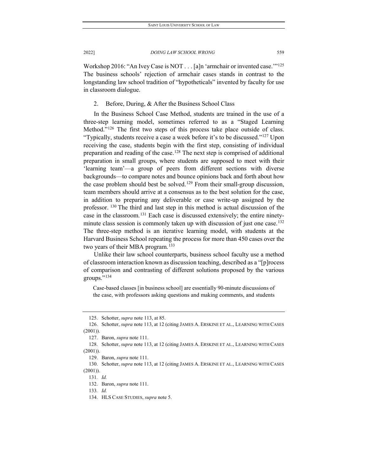Workshop 2016: "An Ivey Case is NOT . . . [a]n 'armchair or invented case.'["125](#page-17-0) The business schools' rejection of armchair cases stands in contrast to the longstanding law school tradition of "hypotheticals" invented by faculty for use in classroom dialogue.

2. Before, During, & After the Business School Class

In the Business School Case Method, students are trained in the use of a three-step learning model, sometimes referred to as a "Staged Learning Method."<sup>126</sup> The first two steps of this process take place outside of class. "Typically, students receive a case a week before it's to be discussed.["127](#page-17-2) Upon receiving the case, students begin with the first step, consisting of individual preparation and reading of the case.<sup>[128](#page-17-3)</sup> The next step is comprised of additional preparation in small groups, where students are supposed to meet with their 'learning team'—a group of peers from different sections with diverse backgrounds—to compare notes and bounce opinions back and forth about how the case problem should best be solved.<sup>[129](#page-17-4)</sup> From their small-group discussion, team members should arrive at a consensus as to the best solution for the case, in addition to preparing any deliverable or case write-up assigned by the professor. <sup>[130](#page-17-5)</sup> The third and last step in this method is actual discussion of the case in the classroom.[131](#page-17-6) Each case is discussed extensively; the entire ninety-minute class session is commonly taken up with discussion of just one case.<sup>[132](#page-17-7)</sup> The three-step method is an iterative learning model, with students at the Harvard Business School repeating the process for more than 450 cases over the two years of their MBA program.<sup>[133](#page-17-8)</sup>

Unlike their law school counterparts, business school faculty use a method of classroom interaction known as discussion teaching, described as a "[p]rocess of comparison and contrasting of different solutions proposed by the various groups."[134](#page-17-9)

Case-based classes [in business school] are essentially 90-minute discussions of the case, with professors asking questions and making comments, and students

<sup>125.</sup> Schotter, *supra* note 113, at 85.

<span id="page-17-1"></span><span id="page-17-0"></span><sup>126.</sup> Schotter, *supra* note 113, at 12 (citing JAMES A. ERSKINE ET AL., LEARNING WITH CASES (2001)).

<sup>127.</sup> Baron, *supra* note 111.

<span id="page-17-3"></span><span id="page-17-2"></span><sup>128.</sup> Schotter, *supra* note 113, at 12 (citing JAMES A. ERSKINE ET AL., LEARNING WITH CASES (2001)).

<sup>129.</sup> Baron, *supra* note 111.

<span id="page-17-8"></span><span id="page-17-7"></span><span id="page-17-6"></span><span id="page-17-5"></span><span id="page-17-4"></span><sup>130.</sup> Schotter, *supra* note 113, at 12 (citing JAMES A. ERSKINE ET AL., LEARNING WITH CASES (2001)).

<sup>131</sup>*. Id.*

<sup>132.</sup> Baron, *supra* note 111.

<span id="page-17-9"></span><sup>133</sup>*. Id.*

<sup>134.</sup> HLS CASE STUDIES, *supra* note 5.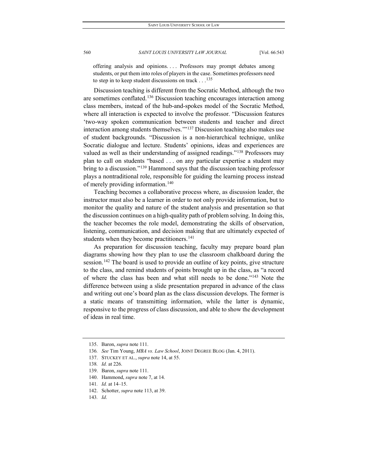offering analysis and opinions. . . . Professors may prompt debates among students, or put them into roles of players in the case. Sometimes professors need to step in to keep student discussions on track  $\dots$ <sup>[135](#page-18-0)</sup>

Discussion teaching is different from the Socratic Method, although the two are sometimes conflated.[136](#page-18-1) Discussion teaching encourages interaction among class members, instead of the hub-and-spokes model of the Socratic Method, where all interaction is expected to involve the professor. "Discussion features 'two-way spoken communication between students and teacher and direct interaction among students themselves.'"[137](#page-18-2) Discussion teaching also makes use of student backgrounds. "Discussion is a non-hierarchical technique, unlike Socratic dialogue and lecture. Students' opinions, ideas and experiences are valued as well as their understanding of assigned readings."[138](#page-18-3) Professors may plan to call on students "based . . . on any particular expertise a student may bring to a discussion."<sup>[139](#page-18-4)</sup> Hammond says that the discussion teaching professor plays a nontraditional role, responsible for guiding the learning process instead of merely providing information.<sup>[140](#page-18-5)</sup>

Teaching becomes a collaborative process where, as discussion leader, the instructor must also be a learner in order to not only provide information, but to monitor the quality and nature of the student analysis and presentation so that the discussion continues on a high-quality path of problem solving. In doing this, the teacher becomes the role model, demonstrating the skills of observation, listening, communication, and decision making that are ultimately expected of students when they become practitioners.<sup>[141](#page-18-6)</sup>

As preparation for discussion teaching, faculty may prepare board plan diagrams showing how they plan to use the classroom chalkboard during the session.<sup>[142](#page-18-7)</sup> The board is used to provide an outline of key points, give structure to the class, and remind students of points brought up in the class, as "a record of where the class has been and what still needs to be done."[143](#page-18-8) Note the difference between using a slide presentation prepared in advance of the class and writing out one's board plan as the class discussion develops. The former is a static means of transmitting information, while the latter is dynamic, responsive to the progress of class discussion, and able to show the development of ideas in real time.

- <span id="page-18-6"></span>141*. Id.* at 14–15.
- <span id="page-18-7"></span>142. Schotter, *supra* note 113, at 39.
- <span id="page-18-8"></span>143*. Id*.

<span id="page-18-0"></span><sup>135.</sup> Baron, *supra* note 111.

<span id="page-18-1"></span><sup>136</sup>*. See* Tim Young, *MBA vs. Law School*, JOINT DEGREE BLOG (Jan. 4, 2011).

<span id="page-18-2"></span><sup>137.</sup> STUCKEY ET AL., *supra* note 14, at 55.

<span id="page-18-3"></span><sup>138</sup>*. Id.* at 226.

<span id="page-18-5"></span><span id="page-18-4"></span><sup>139.</sup> Baron, *supra* note 111.

<sup>140.</sup> Hammond, *supra* note 7, at 14.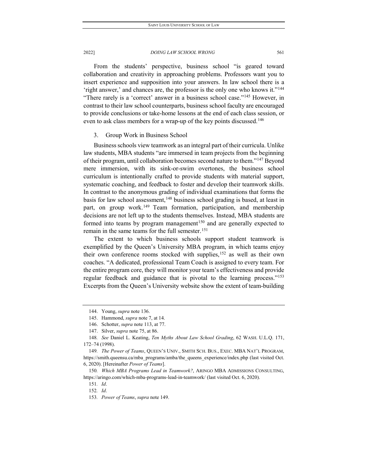From the students' perspective, business school "is geared toward collaboration and creativity in approaching problems. Professors want you to insert experience and supposition into your answers. In law school there is a 'right answer,' and chances are, the professor is the only one who knows it."[144](#page-19-0) "There rarely is a 'correct' answer in a business school case."[145](#page-19-1) However, in contrast to their law school counterparts, business school faculty are encouraged to provide conclusions or take-home lessons at the end of each class session, or even to ask class members for a wrap-up of the key points discussed.<sup>[146](#page-19-2)</sup>

# 3. Group Work in Business School

Business schools view teamwork as an integral part of their curricula. Unlike law students, MBA students "are immersed in team projects from the beginning of their program, until collaboration becomes second nature to them."<sup>[147](#page-19-3)</sup> Beyond mere immersion, with its sink-or-swim overtones, the business school curriculum is intentionally crafted to provide students with material support, systematic coaching, and feedback to foster and develop their teamwork skills. In contrast to the anonymous grading of individual examinations that forms the basis for law school assessment,<sup>[148](#page-19-4)</sup> business school grading is based, at least in part, on group work.<sup>149</sup> Team formation, participation, and membership decisions are not left up to the students themselves. Instead, MBA students are formed into teams by program management<sup>[150](#page-19-6)</sup> and are generally expected to remain in the same teams for the full semester.<sup>[151](#page-19-7)</sup>

The extent to which business schools support student teamwork is exemplified by the Queen's University MBA program, in which teams enjoy their own conference rooms stocked with supplies,<sup>[152](#page-19-8)</sup> as well as their own coaches. "A dedicated, professional Team Coach is assigned to every team. For the entire program core, they will monitor your team's effectiveness and provide regular feedback and guidance that is pivotal to the learning process."<sup>153</sup> Excerpts from the Queen's University website show the extent of team-building

2022] *DOING LAW SCHOOL WRONG* 561

<sup>144.</sup> Young, *supra* note 136.

<sup>145.</sup> Hammond, *supra* note 7, at 14.

<sup>146.</sup> Schotter, *supra* note 113, at 77.

<sup>147.</sup> Silver, *supra* note 75, at 86.

<span id="page-19-4"></span><span id="page-19-3"></span><span id="page-19-2"></span><span id="page-19-1"></span><span id="page-19-0"></span><sup>148</sup>*. See* Daniel L. Keating, *Ten Myths About Law School Grading*, 62 WASH. U.L.Q. 171, 172–74 (1998).

<span id="page-19-5"></span><sup>149</sup>*. The Power of Teams*, QUEEN'S UNIV., SMITH SCH. BUS., EXEC. MBA NAT'L PROGRAM, https://smith.queensu.ca/mba\_programs/amba/the\_queens\_experience/index.php (last visited Oct. 6, 2020). [Hereinafter *Power of Teams*].

<span id="page-19-9"></span><span id="page-19-8"></span><span id="page-19-7"></span><span id="page-19-6"></span><sup>150</sup>*. Which MBA Programs Lead in Teamwork?*, ARINGO MBA ADMISSIONS CONSULTING, https://aringo.com/which-mba-programs-lead-in-teamwork/ (last visited Oct. 6, 2020).

<sup>151</sup>*. Id*. 152*. Id*.

<sup>153</sup>*. Power of Teams*, *supra* note 149.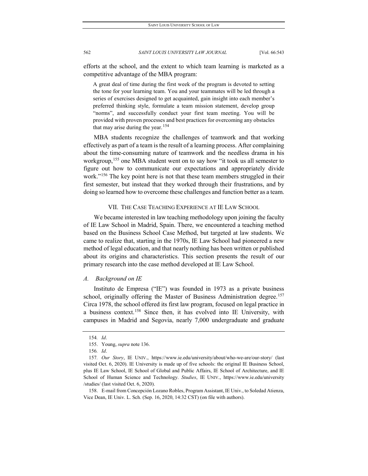efforts at the school, and the extent to which team learning is marketed as a competitive advantage of the MBA program:

A great deal of time during the first week of the program is devoted to setting the tone for your learning team. You and your teammates will be led through a series of exercises designed to get acquainted, gain insight into each member's preferred thinking style, formulate a team mission statement, develop group "norms", and successfully conduct your first team meeting. You will be provided with proven processes and best practices for overcoming any obstacles that may arise during the year.  $154$ 

MBA students recognize the challenges of teamwork and that working effectively as part of a team is the result of a learning process. After complaining about the time-consuming nature of teamwork and the needless drama in his workgroup,<sup>[155](#page-20-1)</sup> one MBA student went on to say how "it took us all semester to figure out how to communicate our expectations and appropriately divide work."[156](#page-20-2) The key point here is not that these team members struggled in their first semester, but instead that they worked through their frustrations, and by doing so learned how to overcome these challenges and function better as a team.

# VII. THE CASE TEACHING EXPERIENCE AT IE LAW SCHOOL

We became interested in law teaching methodology upon joining the faculty of IE Law School in Madrid, Spain. There, we encountered a teaching method based on the Business School Case Method, but targeted at law students. We came to realize that, starting in the 1970s, IE Law School had pioneered a new method of legal education, and that nearly nothing has been written or published about its origins and characteristics. This section presents the result of our primary research into the case method developed at IE Law School.

#### *A. Background on IE*

Instituto de Empresa ("IE") was founded in 1973 as a private business school, originally offering the Master of Business Administration degree.<sup>[157](#page-20-3)</sup> Circa 1978, the school offered its first law program, focused on legal practice in a business context.[158](#page-20-4) Since then, it has evolved into IE University, with campuses in Madrid and Segovia, nearly 7,000 undergraduate and graduate

<sup>154</sup>*. Id*.

<sup>155.</sup> Young, *supra* note 136.

<sup>156</sup>*. Id*.

<span id="page-20-3"></span><span id="page-20-2"></span><span id="page-20-1"></span><span id="page-20-0"></span><sup>157</sup>*. Our Story*, IE UNIV., https://www.ie.edu/university/about/who-we-are/our-story/ (last visited Oct. 6, 2020). IE University is made up of five schools: the original IE Business School, plus IE Law School, IE School of Global and Public Affairs, IE School of Architecture, and IE School of Human Science and Technology. *Studies*, IE UNIV., https://www.ie.edu/university /studies/ (last visited Oct. 6, 2020).

<span id="page-20-4"></span><sup>158.</sup> E-mail from Concepción Lozano Robles, Program Assistant, IE Univ., to Soledad Atienza, Vice Dean, IE Univ. L. Sch. (Sep. 16, 2020, 14:32 CST) (on file with authors).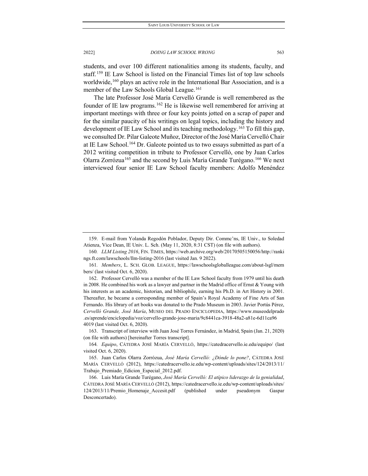students, and over 100 different nationalities among its students, faculty, and staff.<sup>[159](#page-21-0)</sup> IE Law School is listed on the Financial Times list of top law schools worldwide,<sup>[160](#page-21-1)</sup> plays an active role in the International Bar Association, and is a member of the Law Schools Global League.<sup>[161](#page-21-2)</sup>

The late Professor José María Cervelló Grande is well remembered as the founder of IE law programs.<sup>[162](#page-21-3)</sup> He is likewise well remembered for arriving at important meetings with three or four key points jotted on a scrap of paper and for the similar paucity of his writings on legal topics, including the history and development of IE Law School and its teaching methodology.<sup>[163](#page-21-4)</sup> To fill this gap, we consulted Dr. Pilar Galeote Muñoz, Director of the José María Cervelló Chair at IE Law School.<sup>[164](#page-21-5)</sup> Dr. Galeote pointed us to two essays submitted as part of a 2012 writing competition in tribute to Professor Cervelló, one by Juan Carlos Olarra Zorrózua<sup>165</sup> and the second by Luis María Grande Turégano.<sup>[166](#page-21-7)</sup> We next interviewed four senior IE Law School faculty members: Adolfo Menéndez

<span id="page-21-1"></span>160*. LLM Listing 2016*, FIN. TIMES, https://web.archive.org/web/20170505150056/http://ranki ngs.ft.com/lawschools/llm-listing-2016 (last visited Jan. 9 2022).

<span id="page-21-0"></span><sup>159.</sup> E-mail from Yolanda Regodón Poblador, Deputy Dir. Commc'ns, IE Univ., to Soledad Atienza, Vice Dean, IE Univ. L. Sch. (May 11, 2020, 8:31 CST) (on file with authors).

<span id="page-21-2"></span><sup>161</sup>*. Members*, L. SCH. GLOB. LEAGUE, https://lawschoolsgloballeague.com/about-lsgl/mem bers/ (last visited Oct. 6, 2020).

<span id="page-21-3"></span><sup>162.</sup> Professor Cervelló was a member of the IE Law School faculty from 1979 until his death in 2008. He combined his work as a lawyer and partner in the Madrid office of Ernst  $&$  Young with his interests as an academic, historian, and bibliophile, earning his Ph.D. in Art History in 2001. Thereafter, he became a corresponding member of Spain's Royal Academy of Fine Arts of San Fernando. His library of art books was donated to the Prado Museum in 2003. Javier Portús Pérez, *Cervelló Grande, José María*, MUSEO DEL PRADO ENCICLOPEDIA, https://www.museodelprado .es/aprende/enciclopedia/voz/cervello-grande-jose-maria/9c8441ca-3918-48a2-a81e-6d11ca96 4019 (last visited Oct. 6, 2020).

<span id="page-21-4"></span><sup>163.</sup> Transcript of interview with Juan José Torres Fernández, in Madrid, Spain (Jan. 21, 2020) (on file with authors) [hereinafter Torres transcript].

<span id="page-21-5"></span><sup>164</sup>*. Equipo*, CÁTEDRA JOSÉ MARÍA CERVELLÓ, https://catedracervello.ie.edu/equipo/ (last visited Oct. 6, 2020).

<span id="page-21-6"></span><sup>165.</sup> Juan Carlos Olarra Zorrózua, *José María Cervelló: ¿Dónde lo pone?*, CÁTEDRA JOSÉ MARÍA CERVELLÓ (2012), https://catedracervello.ie.edu/wp-content/uploads/sites/124/2013/11/ Trabajo\_Premiado\_Edicion\_Especial\_2012.pdf.

<span id="page-21-7"></span><sup>166.</sup> Luis María Grande Turégano, *José María Cervelló: El atípico liderazgo de la genialidad*, CÁTEDRA JOSÉ MARÍA CERVELLÓ (2012), https://catedracervello.ie.edu/wp-content/uploads/sites/ 124/2013/11/Premio\_Homenaje\_Accesit.pdf (published under pseudonym Gaspar Desconcertado).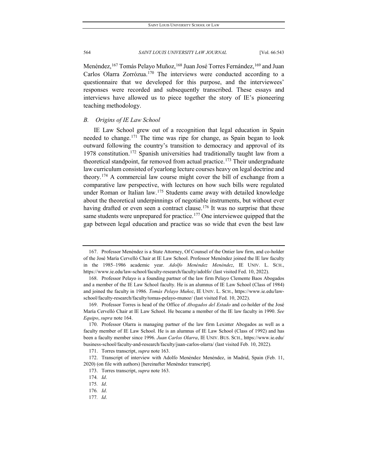Menéndez, <sup>[167](#page-22-0)</sup> Tomás Pelayo Muñoz, <sup>[168](#page-22-1)</sup> Juan José Torres Fernández, <sup>[169](#page-22-2)</sup> and Juan Carlos Olarra Zorrózua.[170](#page-22-3) The interviews were conducted according to a questionnaire that we developed for this purpose, and the interviewees' responses were recorded and subsequently transcribed. These essays and interviews have allowed us to piece together the story of IE's pioneering teaching methodology.

# *B. Origins of IE Law School*

IE Law School grew out of a recognition that legal education in Spain needed to change.[171](#page-22-4) The time was ripe for change, as Spain began to look outward following the country's transition to democracy and approval of its 1978 constitution.[172](#page-22-5) Spanish universities had traditionally taught law from a theoretical standpoint, far removed from actual practice.<sup>[173](#page-22-6)</sup> Their undergraduate law curriculum consisted of yearlong lecture courses heavy on legal doctrine and theory.[174](#page-22-7) A commercial law course might cover the bill of exchange from a comparative law perspective, with lectures on how such bills were regulated under Roman or Italian law.<sup>[175](#page-22-8)</sup> Students came away with detailed knowledge about the theoretical underpinnings of negotiable instruments, but without ever having drafted or even seen a contract clause.<sup>[176](#page-22-9)</sup> It was no surprise that these same students were unprepared for practice.<sup>177</sup> One interviewee quipped that the gap between legal education and practice was so wide that even the best law

177*. Id*.

<span id="page-22-0"></span><sup>167.</sup> Professor Menéndez is a State Attorney, Of Counsel of the Ontier law firm, and co-holder of the José María Cervelló Chair at IE Law School. Professor Menéndez joined the IE law faculty in the 1985–1986 academic year. *Adolfo Menéndez Menéndez*, IE UNIV. L. SCH., https://www.ie.edu/law-school/faculty-research/faculty/adolfo/ (last visited Fed. 10, 2022).

<span id="page-22-1"></span><sup>168.</sup> Professor Pelayo is a founding partner of the law firm Pelayo Clemente Baos Abogados and a member of the IE Law School faculty. He is an alumnus of IE Law School (Class of 1984) and joined the faculty in 1986. *Tomás Pelayo Muñoz*, IE UNIV. L. SCH., https://www.ie.edu/lawschool/faculty-research/faculty/tomas-pelayo-munoz/ (last visited Fed. 10, 2022).

<span id="page-22-2"></span><sup>169.</sup> Professor Torres is head of the Office of *Abogados del Estado* and co-holder of the José María Cervelló Chair at IE Law School. He became a member of the IE law faculty in 1990. *See Equipo*, *supra* note 164.

<span id="page-22-3"></span><sup>170.</sup> Professor Olarra is managing partner of the law firm Lexinter Abogados as well as a faculty member of IE Law School. He is an alumnus of IE Law School (Class of 1992) and has been a faculty member since 1996. *Juan Carlos Olarra*, IE UNIV. BUS. SCH., https://www.ie.edu/ business-school/faculty-and-research/faculty/juan-carlos-olarra/ (last visited Feb. 10, 2022).

<sup>171.</sup> Torres transcript, *supra* note 163.

<span id="page-22-8"></span><span id="page-22-7"></span><span id="page-22-6"></span><span id="page-22-5"></span><span id="page-22-4"></span><sup>172.</sup> Transcript of interview with Adolfo Menéndez Menéndez, in Madrid, Spain (Feb. 11, 2020) (on file with authors) [hereinafter Menéndez transcript].

<sup>173.</sup> Torres transcript, *supra* note 163.

<sup>174</sup>*. Id*.

<span id="page-22-9"></span><sup>175</sup>*. Id*.

<span id="page-22-10"></span><sup>176</sup>*. Id*.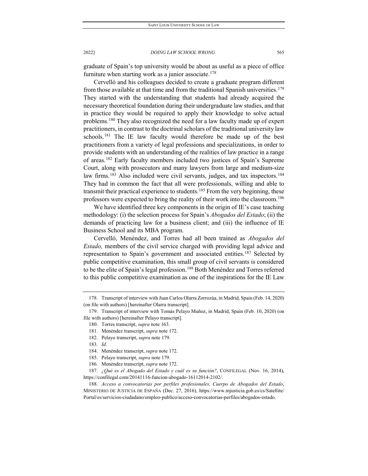graduate of Spain's top university would be about as useful as a piece of office furniture when starting work as a junior associate.<sup>178</sup>

Cervelló and his colleagues decided to create a graduate program different from those available at that time and from the traditional Spanish universities.<sup>[179](#page-23-1)</sup> They started with the understanding that students had already acquired the necessary theoretical foundation during their undergraduate law studies, and that in practice they would be required to apply their knowledge to solve actual problems.<sup>[180](#page-23-2)</sup> They also recognized the need for a law faculty made up of expert practitioners, in contrast to the doctrinal scholars of the traditional university law schools.<sup>[181](#page-23-3)</sup> The IE law faculty would therefore be made up of the best practitioners from a variety of legal professions and specializations, in order to provide students with an understanding of the realities of law practice in a range of areas.[182](#page-23-4) Early faculty members included two justices of Spain's Supreme Court, along with prosecutors and many lawyers from large and medium-size law firms.<sup>[183](#page-23-5)</sup> Also included were civil servants, judges, and tax inspectors.<sup>[184](#page-23-6)</sup> They had in common the fact that all were professionals, willing and able to transmit their practical experience to students.<sup>[185](#page-23-7)</sup> From the very beginning, these professors were expected to bring the reality of their work into the classroom.[186](#page-23-8)

We have identified three key components in the origin of IE's case teaching methodology: (i) the selection process for Spain's *Abogados del Estado*; (ii) the demands of practicing law for a business client; and (iii) the influence of IE Business School and its MBA program.

Cervelló, Menéndez, and Torres had all been trained as *Abogados del Estado,* members of the civil service charged with providing legal advice and representation to Spain's government and associated entities.<sup>[187](#page-23-9)</sup> Selected by public competitive examination, this small group of civil servants is considered to be the elite of Spain's legal profession.<sup>[188](#page-23-10)</sup> Both Menéndez and Torres referred to this public competitive examination as one of the inspirations for the IE Law

<span id="page-23-0"></span><sup>178.</sup> Transcript of interview with Juan Carlos Olarra Zorrozúa, in Madrid, Spain (Feb. 14, 2020) (on file with authors) [hereinafter Olarra transcript].

<span id="page-23-4"></span><span id="page-23-3"></span><span id="page-23-2"></span><span id="page-23-1"></span><sup>179.</sup> Transcript of interview with Tomás Pelayo Muñoz, in Madrid, Spain (Feb. 10, 2020) (on file with authors) [hereinafter Pelayo transcript].

<sup>180.</sup> Torres transcript, *supra* note 163.

<sup>181.</sup> Menéndez transcript, *supra* note 172.

<sup>182.</sup> Pelayo transcript, *supra* note 179.

<sup>183</sup>*. Id*.

<sup>184.</sup> Menéndez transcript, *supra* note 172.

<sup>185.</sup> Pelayo transcript, *supra* note 179.

<sup>186.</sup> Menéndez transcript, *supra* note 172.

<span id="page-23-9"></span><span id="page-23-8"></span><span id="page-23-7"></span><span id="page-23-6"></span><span id="page-23-5"></span><sup>187</sup>*. ¿Qué es el Abogado del Estado y cuál es su función?*, CONFILEGAL (Nov. 16, 2014), https://confilegal.com/20141116-funcion-abogado-16112014-2102/.

<span id="page-23-10"></span><sup>188</sup>*. Acceso a convocatorias por perfiles profesionales, Cuerpo de Abogados del Estado*, MINISTERIO DE JUSTICIA DE ESPAÑA (Dec. 27, 2016), https://www.mjusticia.gob.es/cs/Satellite/ Portal/es/servicios-ciudadano/empleo-publico/acceso-convocatorias-perfiles/abogados-estado.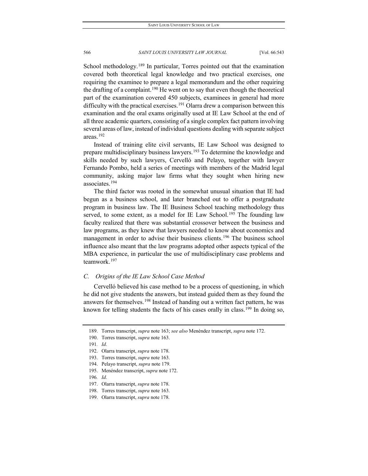School methodology.<sup>[189](#page-24-0)</sup> In particular, Torres pointed out that the examination covered both theoretical legal knowledge and two practical exercises, one requiring the examinee to prepare a legal memorandum and the other requiring the drafting of a complaint.<sup>[190](#page-24-1)</sup> He went on to say that even though the theoretical part of the examination covered 450 subjects, examinees in general had more difficulty with the practical exercises.<sup>[191](#page-24-2)</sup> Olarra drew a comparison between this examination and the oral exams originally used at IE Law School at the end of all three academic quarters, consisting of a single complex fact pattern involving several areas of law, instead of individual questions dealing with separate subject areas.[192](#page-24-3)

Instead of training elite civil servants, IE Law School was designed to prepare multidisciplinary business lawyers.<sup>[193](#page-24-4)</sup> To determine the knowledge and skills needed by such lawyers, Cervelló and Pelayo, together with lawyer Fernando Pombo, held a series of meetings with members of the Madrid legal community, asking major law firms what they sought when hiring new associates.[194](#page-24-5)

The third factor was rooted in the somewhat unusual situation that IE had begun as a business school, and later branched out to offer a postgraduate program in business law. The IE Business School teaching methodology thus served, to some extent, as a model for IE Law School.<sup>[195](#page-24-6)</sup> The founding law faculty realized that there was substantial crossover between the business and law programs, as they knew that lawyers needed to know about economics and management in order to advise their business clients.<sup>[196](#page-24-7)</sup> The business school influence also meant that the law programs adopted other aspects typical of the MBA experience, in particular the use of multidisciplinary case problems and teamwork.[197](#page-24-8)

# *C. Origins of the IE Law School Case Method*

Cervelló believed his case method to be a process of questioning, in which he did not give students the answers, but instead guided them as they found the answers for themselves.<sup>[198](#page-24-9)</sup> Instead of handing out a written fact pattern, he was known for telling students the facts of his cases orally in class.<sup>[199](#page-24-10)</sup> In doing so,

<span id="page-24-0"></span><sup>189.</sup> Torres transcript, *supra* note 163; *see also* Menéndez transcript, *supra* note 172.

<span id="page-24-1"></span><sup>190.</sup> Torres transcript, *supra* note 163.

<span id="page-24-2"></span><sup>191</sup>*. Id*.

<span id="page-24-3"></span><sup>192.</sup> Olarra transcript, *supra* note 178.

<span id="page-24-5"></span><span id="page-24-4"></span><sup>193.</sup> Torres transcript, *supra* note 163.

<sup>194.</sup> Pelayo transcript, *supra* note 179.

<span id="page-24-7"></span><span id="page-24-6"></span><sup>195.</sup> Menéndez transcript, *supra* note 172.

<sup>196</sup>*. Id*.

<span id="page-24-8"></span><sup>197.</sup> Olarra transcript, *supra* note 178.

<span id="page-24-9"></span><sup>198.</sup> Torres transcript, *supra* note 163.

<span id="page-24-10"></span><sup>199.</sup> Olarra transcript, *supra* note 178.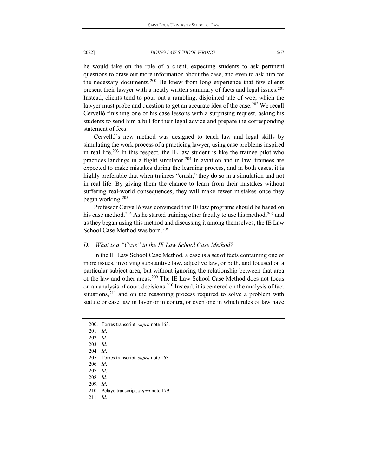he would take on the role of a client, expecting students to ask pertinent questions to draw out more information about the case, and even to ask him for the necessary documents.<sup>[200](#page-25-0)</sup> He knew from long experience that few clients present their lawyer with a neatly written summary of facts and legal issues.<sup>201</sup> Instead, clients tend to pour out a rambling, disjointed tale of woe, which the lawyer must probe and question to get an accurate idea of the case.<sup>[202](#page-25-2)</sup> We recall Cervelló finishing one of his case lessons with a surprising request, asking his students to send him a bill for their legal advice and prepare the corresponding statement of fees.

Cervelló's new method was designed to teach law and legal skills by simulating the work process of a practicing lawyer, using case problems inspired in real life.[203](#page-25-3) In this respect, the IE law student is like the trainee pilot who practices landings in a flight simulator.[204](#page-25-4) In aviation and in law, trainees are expected to make mistakes during the learning process, and in both cases, it is highly preferable that when trainees "crash," they do so in a simulation and not in real life. By giving them the chance to learn from their mistakes without suffering real-world consequences, they will make fewer mistakes once they begin working.[205](#page-25-5)

Professor Cervelló was convinced that IE law programs should be based on his case method.<sup>[206](#page-25-6)</sup> As he started training other faculty to use his method,<sup>[207](#page-25-7)</sup> and as they began using this method and discussing it among themselves, the IE Law School Case Method was born.<sup>[208](#page-25-8)</sup>

# *D. What is a "Case" in the IE Law School Case Method?*

In the IE Law School Case Method, a case is a set of facts containing one or more issues, involving substantive law, adjective law, or both, and focused on a particular subject area, but without ignoring the relationship between that area of the law and other areas.<sup>[209](#page-25-9)</sup> The IE Law School Case Method does not focus on an analysis of court decisions.[210](#page-25-10) Instead, it is centered on the analysis of fact situations, $2^{11}$  and on the reasoning process required to solve a problem with statute or case law in favor or in contra, or even one in which rules of law have

206*. Id*.

<span id="page-25-11"></span>211*. Id*.

<span id="page-25-1"></span><span id="page-25-0"></span><sup>200.</sup> Torres transcript, *supra* note 163.

<sup>201</sup>*. Id*.

<span id="page-25-2"></span><sup>202</sup>*. Id.*

<span id="page-25-3"></span><sup>203</sup>*. Id*.

<span id="page-25-4"></span><sup>204</sup>*. Id*.

<span id="page-25-5"></span><sup>205.</sup> Torres transcript, *supra* note 163.

<span id="page-25-8"></span><span id="page-25-7"></span><span id="page-25-6"></span><sup>207</sup>*. Id*.

<sup>208</sup>*. Id.*

<sup>209</sup>*. Id*.

<span id="page-25-10"></span><span id="page-25-9"></span><sup>210.</sup> Pelayo transcript, *supra* note 179.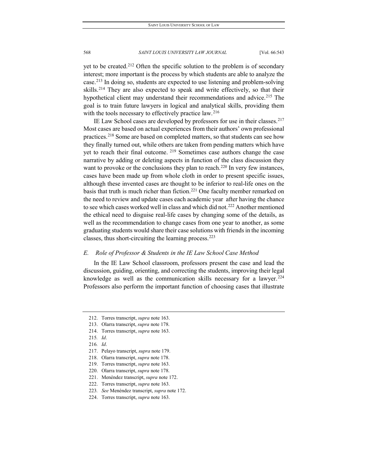yet to be created.<sup>[212](#page-26-0)</sup> Often the specific solution to the problem is of secondary interest; more important is the process by which students are able to analyze the case.[213](#page-26-1) In doing so, students are expected to use listening and problem-solving skills.<sup>[214](#page-26-2)</sup> They are also expected to speak and write effectively, so that their hypothetical client may understand their recommendations and advice.<sup>[215](#page-26-3)</sup> The goal is to train future lawyers in logical and analytical skills, providing them with the tools necessary to effectively practice law.<sup>[216](#page-26-4)</sup>

IE Law School cases are developed by professors for use in their classes.[217](#page-26-5) Most cases are based on actual experiences from their authors' own professional practices.[218](#page-26-6) Some are based on completed matters, so that students can see how they finally turned out, while others are taken from pending matters which have yet to reach their final outcome. <sup>[219](#page-26-7)</sup> Sometimes case authors change the case narrative by adding or deleting aspects in function of the class discussion they want to provoke or the conclusions they plan to reach.<sup>220</sup> In very few instances, cases have been made up from whole cloth in order to present specific issues, although these invented cases are thought to be inferior to real-life ones on the basis that truth is much richer than fiction.<sup>[221](#page-26-9)</sup> One faculty member remarked on the need to review and update cases each academic year after having the chance to see which cases worked well in class and which did not.[222](#page-26-10) Another mentioned the ethical need to disguise real-life cases by changing some of the details, as well as the recommendation to change cases from one year to another, as some graduating students would share their case solutions with friends in the incoming classes, thus short-circuiting the learning process.[223](#page-26-11)

# *E. Role of Professor & Students in the IE Law School Case Method*

In the IE Law School classroom, professors present the case and lead the discussion, guiding, orienting, and correcting the students, improving their legal knowledge as well as the communication skills necessary for a lawyer.<sup>[224](#page-26-12)</sup> Professors also perform the important function of choosing cases that illustrate

<span id="page-26-0"></span><sup>212.</sup> Torres transcript, *supra* note 163.

<span id="page-26-1"></span><sup>213.</sup> Olarra transcript, *supra* note 178.

<span id="page-26-2"></span><sup>214.</sup> Torres transcript, *supra* note 163.

<span id="page-26-3"></span><sup>215</sup>*. Id*.

<span id="page-26-4"></span><sup>216</sup>*. Id*.

<span id="page-26-5"></span><sup>217.</sup> Pelayo transcript, *supra* note 179.

<span id="page-26-6"></span><sup>218.</sup> Olarra transcript, *supra* note 178.

<span id="page-26-7"></span><sup>219.</sup> Torres transcript, *supra* note 163.

<span id="page-26-8"></span><sup>220.</sup> Olarra transcript, *supra* note 178.

<span id="page-26-9"></span><sup>221.</sup> Menéndez transcript, *supra* note 172.

<span id="page-26-10"></span><sup>222.</sup> Torres transcript, *supra* note 163.

<span id="page-26-11"></span><sup>223</sup>*. See* Menéndez transcript, *supra* note 172.

<span id="page-26-12"></span><sup>224.</sup> Torres transcript, *supra* note 163.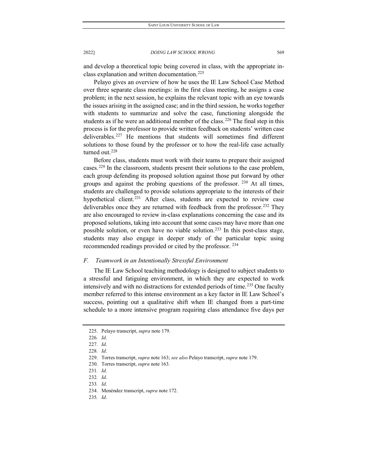and develop a theoretical topic being covered in class, with the appropriate inclass explanation and written documentation.[225](#page-27-0)

Pelayo gives an overview of how he uses the IE Law School Case Method over three separate class meetings: in the first class meeting, he assigns a case problem; in the next session, he explains the relevant topic with an eye towards the issues arising in the assigned case; and in the third session, he works together with students to summarize and solve the case, functioning alongside the students as if he were an additional member of the class.<sup>[226](#page-27-1)</sup> The final step in this process is for the professor to provide written feedback on students' written case deliverables.[227](#page-27-2) He mentions that students will sometimes find different solutions to those found by the professor or to how the real-life case actually turned out.<sup>[228](#page-27-3)</sup>

Before class, students must work with their teams to prepare their assigned cases.[229](#page-27-4) In the classroom, students present their solutions to the case problem, each group defending its proposed solution against those put forward by other groups and against the probing questions of the professor. [230](#page-27-5) At all times, students are challenged to provide solutions appropriate to the interests of their hypothetical client.<sup>[231](#page-27-6)</sup> After class, students are expected to review case deliverables once they are returned with feedback from the professor.<sup>[232](#page-27-7)</sup> They are also encouraged to review in-class explanations concerning the case and its proposed solutions, taking into account that some cases may have more than one possible solution, or even have no viable solution.[233](#page-27-8) In this post-class stage, students may also engage in deeper study of the particular topic using recommended readings provided or cited by the professor. [234](#page-27-9)

# *F. Teamwork in an Intentionally Stressful Environment*

The IE Law School teaching methodology is designed to subject students to a stressful and fatiguing environment, in which they are expected to work intensively and with no distractions for extended periods of time.<sup>[235](#page-27-10)</sup> One faculty member referred to this intense environment as a key factor in IE Law School's success, pointing out a qualitative shift when IE changed from a part-time schedule to a more intensive program requiring class attendance five days per

<span id="page-27-0"></span><sup>225.</sup> Pelayo transcript, *supra* note 179.

<span id="page-27-1"></span><sup>226</sup>*. Id*.

<span id="page-27-2"></span><sup>227</sup>*. Id*.

<sup>228</sup>*. Id*.

<span id="page-27-5"></span><span id="page-27-4"></span><span id="page-27-3"></span><sup>229.</sup> Torres transcript, *supra* note 163; *see also* Pelayo transcript, *supra* note 179.

<span id="page-27-6"></span><sup>230.</sup> Torres transcript, *supra* note 163.

<sup>231</sup>*. Id*.

<span id="page-27-7"></span><sup>232</sup>*. Id*.

<span id="page-27-8"></span><sup>233</sup>*. Id*.

<span id="page-27-9"></span><sup>234.</sup> Menéndez transcript, *supra* note 172.

<span id="page-27-10"></span><sup>235</sup>*. Id*.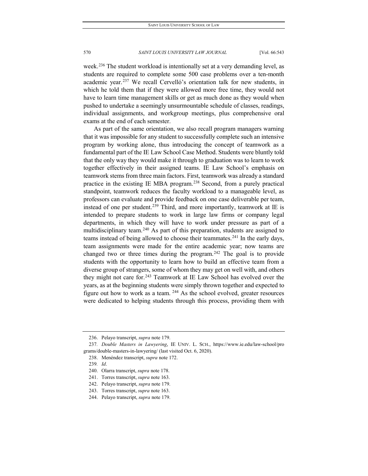week.<sup>[236](#page-28-0)</sup> The student workload is intentionally set at a very demanding level, as students are required to complete some 500 case problems over a ten-month academic year.<sup>[237](#page-28-1)</sup> We recall Cervelló's orientation talk for new students, in which he told them that if they were allowed more free time, they would not have to learn time management skills or get as much done as they would when pushed to undertake a seemingly unsurmountable schedule of classes, readings, individual assignments, and workgroup meetings, plus comprehensive oral exams at the end of each semester.

As part of the same orientation, we also recall program managers warning that it was impossible for any student to successfully complete such an intensive program by working alone, thus introducing the concept of teamwork as a fundamental part of the IE Law School Case Method. Students were bluntly told that the only way they would make it through to graduation was to learn to work together effectively in their assigned teams. IE Law School's emphasis on teamwork stems from three main factors. First, teamwork was already a standard practice in the existing IE MBA program.[238](#page-28-2) Second, from a purely practical standpoint, teamwork reduces the faculty workload to a manageable level, as professors can evaluate and provide feedback on one case deliverable per team, instead of one per student.<sup>[239](#page-28-3)</sup> Third, and more importantly, teamwork at IE is intended to prepare students to work in large law firms or company legal departments, in which they will have to work under pressure as part of a multidisciplinary team.<sup>[240](#page-28-4)</sup> As part of this preparation, students are assigned to teams instead of being allowed to choose their teammates.<sup>[241](#page-28-5)</sup> In the early days, team assignments were made for the entire academic year; now teams are changed two or three times during the program.<sup>[242](#page-28-6)</sup> The goal is to provide students with the opportunity to learn how to build an effective team from a diverse group of strangers, some of whom they may get on well with, and others they might not care for.<sup>[243](#page-28-7)</sup> Teamwork at IE Law School has evolved over the years, as at the beginning students were simply thrown together and expected to figure out how to work as a team.  $244$  As the school evolved, greater resources were dedicated to helping students through this process, providing them with

<sup>236.</sup> Pelayo transcript, *supra* note 179.

<span id="page-28-4"></span><span id="page-28-3"></span><span id="page-28-2"></span><span id="page-28-1"></span><span id="page-28-0"></span><sup>237</sup>*. Double Masters in Lawyering*, IE UNIV. L. SCH., https://www.ie.edu/law-school/pro grams/double-masters-in-lawyering/ (last visited Oct. 6, 2020).

<sup>238.</sup> Menéndez transcript, *supra* note 172.

<sup>239</sup>*. Id*.

<sup>240.</sup> Olarra transcript, *supra* note 178.

<span id="page-28-5"></span><sup>241.</sup> Torres transcript, *supra* note 163.

<span id="page-28-6"></span><sup>242.</sup> Pelayo transcript, *supra* note 179.

<span id="page-28-7"></span><sup>243.</sup> Torres transcript, *supra* note 163.

<span id="page-28-8"></span><sup>244.</sup> Pelayo transcript, *supra* note 179.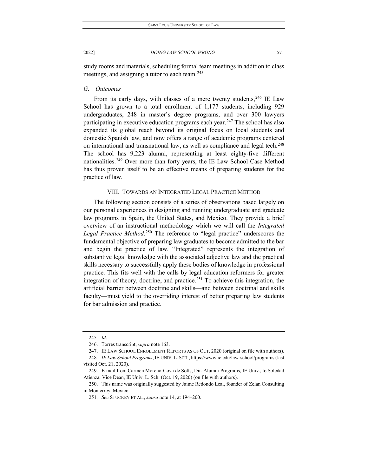study rooms and materials, scheduling formal team meetings in addition to class meetings, and assigning a tutor to each team.<sup>[245](#page-29-0)</sup>

# *G. Outcomes*

From its early days, with classes of a mere twenty students,  $246$  IE Law School has grown to a total enrollment of 1,177 students, including 929 undergraduates, 248 in master's degree programs, and over 300 lawyers participating in executive education programs each year.<sup>[247](#page-29-2)</sup> The school has also expanded its global reach beyond its original focus on local students and domestic Spanish law, and now offers a range of academic programs centered on international and transnational law, as well as compliance and legal tech.<sup>[248](#page-29-3)</sup> The school has 9,223 alumni, representing at least eighty-five different nationalities.<sup>[249](#page-29-4)</sup> Over more than forty years, the IE Law School Case Method has thus proven itself to be an effective means of preparing students for the practice of law.

# VIII. TOWARDS AN INTEGRATED LEGAL PRACTICE METHOD

The following section consists of a series of observations based largely on our personal experiences in designing and running undergraduate and graduate law programs in Spain, the United States, and Mexico. They provide a brief overview of an instructional methodology which we will call the *Integrated Legal Practice Method*. [250](#page-29-5) The reference to "legal practice" underscores the fundamental objective of preparing law graduates to become admitted to the bar and begin the practice of law. "Integrated" represents the integration of substantive legal knowledge with the associated adjective law and the practical skills necessary to successfully apply these bodies of knowledge in professional practice. This fits well with the calls by legal education reformers for greater integration of theory, doctrine, and practice.<sup>[251](#page-29-6)</sup> To achieve this integration, the artificial barrier between doctrine and skills—and between doctrinal and skills faculty—must yield to the overriding interest of better preparing law students for bar admission and practice.

<sup>245</sup>*. Id*.

<sup>246.</sup> Torres transcript, *supra* note 163.

<sup>247.</sup> IE LAW SCHOOL ENROLLMENT REPORTS AS OF OCT. 2020 (original on file with authors).

<span id="page-29-3"></span><span id="page-29-2"></span><span id="page-29-1"></span><span id="page-29-0"></span><sup>248</sup>*. IE Law School Programs*, IE UNIV. L. SCH., https://www.ie.edu/law-school/programs (last visited Oct. 21, 2020).

<span id="page-29-4"></span><sup>249.</sup> E-mail from Carmen Moreno-Cova de Solís, Dir. Alumni Programs, IE Univ., to Soledad Atienza, Vice Dean, IE Univ. L. Sch. (Oct. 19, 2020) (on file with authors).

<span id="page-29-6"></span><span id="page-29-5"></span><sup>250.</sup> This name was originally suggested by Jaime Redondo Leal, founder of Zelan Consulting in Monterrey, Mexico.

<sup>251</sup>*. See* STUCKEY ET AL., *supra* note 14, at 194–200.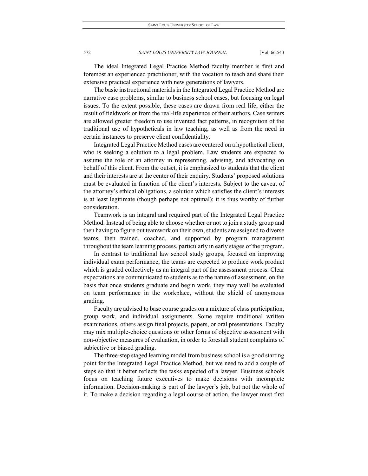The ideal Integrated Legal Practice Method faculty member is first and foremost an experienced practitioner, with the vocation to teach and share their extensive practical experience with new generations of lawyers.

The basic instructional materials in the Integrated Legal Practice Method are narrative case problems, similar to business school cases, but focusing on legal issues. To the extent possible, these cases are drawn from real life, either the result of fieldwork or from the real-life experience of their authors. Case writers are allowed greater freedom to use invented fact patterns, in recognition of the traditional use of hypotheticals in law teaching, as well as from the need in certain instances to preserve client confidentiality.

Integrated Legal Practice Method cases are centered on a hypothetical client, who is seeking a solution to a legal problem. Law students are expected to assume the role of an attorney in representing, advising, and advocating on behalf of this client. From the outset, it is emphasized to students that the client and their interests are at the center of their enquiry. Students' proposed solutions must be evaluated in function of the client's interests. Subject to the caveat of the attorney's ethical obligations, a solution which satisfies the client's interests is at least legitimate (though perhaps not optimal); it is thus worthy of further consideration.

Teamwork is an integral and required part of the Integrated Legal Practice Method. Instead of being able to choose whether or not to join a study group and then having to figure out teamwork on their own, students are assigned to diverse teams, then trained, coached, and supported by program management throughout the team learning process, particularly in early stages of the program.

In contrast to traditional law school study groups, focused on improving individual exam performance, the teams are expected to produce work product which is graded collectively as an integral part of the assessment process. Clear expectations are communicated to students as to the nature of assessment, on the basis that once students graduate and begin work, they may well be evaluated on team performance in the workplace, without the shield of anonymous grading.

Faculty are advised to base course grades on a mixture of class participation, group work, and individual assignments. Some require traditional written examinations, others assign final projects, papers, or oral presentations. Faculty may mix multiple-choice questions or other forms of objective assessment with non-objective measures of evaluation, in order to forestall student complaints of subjective or biased grading.

The three-step staged learning model from business school is a good starting point for the Integrated Legal Practice Method, but we need to add a couple of steps so that it better reflects the tasks expected of a lawyer. Business schools focus on teaching future executives to make decisions with incomplete information. Decision-making is part of the lawyer's job, but not the whole of it. To make a decision regarding a legal course of action, the lawyer must first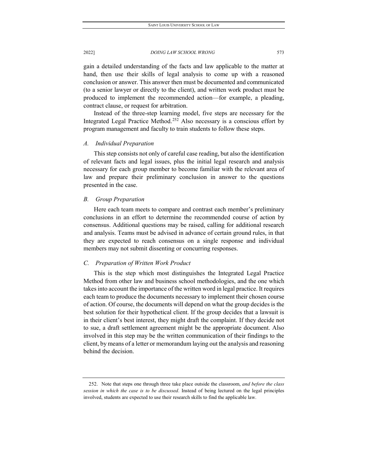gain a detailed understanding of the facts and law applicable to the matter at hand, then use their skills of legal analysis to come up with a reasoned conclusion or answer. This answer then must be documented and communicated (to a senior lawyer or directly to the client), and written work product must be produced to implement the recommended action—for example, a pleading, contract clause, or request for arbitration.

Instead of the three-step learning model, five steps are necessary for the Integrated Legal Practice Method.<sup>[252](#page-31-0)</sup> Also necessary is a conscious effort by program management and faculty to train students to follow these steps.

# *A. Individual Preparation*

This step consists not only of careful case reading, but also the identification of relevant facts and legal issues, plus the initial legal research and analysis necessary for each group member to become familiar with the relevant area of law and prepare their preliminary conclusion in answer to the questions presented in the case.

# *B. Group Preparation*

Here each team meets to compare and contrast each member's preliminary conclusions in an effort to determine the recommended course of action by consensus. Additional questions may be raised, calling for additional research and analysis. Teams must be advised in advance of certain ground rules, in that they are expected to reach consensus on a single response and individual members may not submit dissenting or concurring responses.

# *C. Preparation of Written Work Product*

This is the step which most distinguishes the Integrated Legal Practice Method from other law and business school methodologies, and the one which takes into account the importance of the written word in legal practice. It requires each team to produce the documents necessary to implement their chosen course of action. Of course, the documents will depend on what the group decides is the best solution for their hypothetical client. If the group decides that a lawsuit is in their client's best interest, they might draft the complaint. If they decide not to sue, a draft settlement agreement might be the appropriate document. Also involved in this step may be the written communication of their findings to the client, by means of a letter or memorandum laying out the analysis and reasoning behind the decision.

<span id="page-31-0"></span><sup>252.</sup> Note that steps one through three take place outside the classroom, *and before the class session in which the case is to be discussed*. Instead of being lectured on the legal principles involved, students are expected to use their research skills to find the applicable law.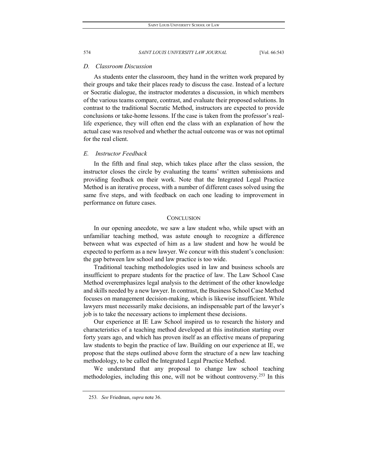# *D. Classroom Discussion*

As students enter the classroom, they hand in the written work prepared by their groups and take their places ready to discuss the case. Instead of a lecture or Socratic dialogue, the instructor moderates a discussion, in which members of the various teams compare, contrast, and evaluate their proposed solutions. In contrast to the traditional Socratic Method, instructors are expected to provide conclusions or take-home lessons. If the case is taken from the professor's reallife experience, they will often end the class with an explanation of how the actual case was resolved and whether the actual outcome was or was not optimal for the real client.

# *E. Instructor Feedback*

In the fifth and final step, which takes place after the class session, the instructor closes the circle by evaluating the teams' written submissions and providing feedback on their work. Note that the Integrated Legal Practice Method is an iterative process, with a number of different cases solved using the same five steps, and with feedback on each one leading to improvement in performance on future cases.

# **CONCLUSION**

In our opening anecdote, we saw a law student who, while upset with an unfamiliar teaching method, was astute enough to recognize a difference between what was expected of him as a law student and how he would be expected to perform as a new lawyer. We concur with this student's conclusion: the gap between law school and law practice is too wide.

Traditional teaching methodologies used in law and business schools are insufficient to prepare students for the practice of law. The Law School Case Method overemphasizes legal analysis to the detriment of the other knowledge and skills needed by a new lawyer. In contrast, the Business School Case Method focuses on management decision-making, which is likewise insufficient. While lawyers must necessarily make decisions, an indispensable part of the lawyer's job is to take the necessary actions to implement these decisions.

Our experience at IE Law School inspired us to research the history and characteristics of a teaching method developed at this institution starting over forty years ago, and which has proven itself as an effective means of preparing law students to begin the practice of law. Building on our experience at IE, we propose that the steps outlined above form the structure of a new law teaching methodology, to be called the Integrated Legal Practice Method.

<span id="page-32-0"></span>We understand that any proposal to change law school teaching methodologies, including this one, will not be without controversy.[253](#page-32-0) In this

<sup>253</sup>*. See* Friedman, *supra* note 36.